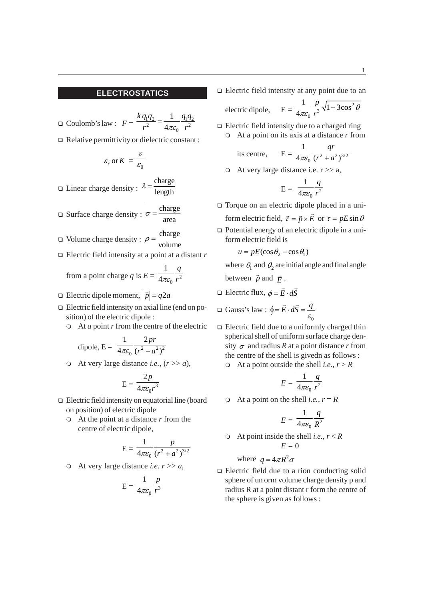O Coulomb's law :  $F = \frac{k q_1 q_2}{r^2} = \frac{1}{4\pi \varepsilon_0} \frac{q_1 q_2}{r^2}$ 1 4  $\frac{kq_1q_2}{r^2} = \frac{1}{4\pi\varepsilon_0} \frac{q_1q}{r^2}$ Relative permittivity or dielectric constant :  $\varepsilon_r$  or  $K = \frac{\varepsilon}{\varepsilon_0}$ ε Linear charge density : charge length  $\lambda =$ 

$$
\Box \text{ Surface charge density}: \sigma = \frac{\text{charge}}{\text{area}}
$$

- □ Volume charge density :  $\rho = \frac{\text{charge}}{\text{volume}}$
- Electric field intensity at a point at a distant *r*

from a point charge *q* is  $E = \frac{1}{4\pi\epsilon_0} \frac{1}{r^2}$ 1 4 *q*  $\pi \varepsilon_0$  r

- $\Box$  Electric dipole moment,  $|\vec{p}| = q2a$
- $\Box$  Electric field intensity on axial line (end on position) of the electric dipole :
	- At *a* point *r* from the centre of the electric

dipole, E = 
$$
\frac{1}{4\pi\varepsilon_0} \frac{2pr}{(r^2 - a^2)^2}
$$

 $\circ$  At very large distance *i.e.*,  $(r \gg a)$ ,

$$
E = \frac{2p}{4\pi\varepsilon_0 r^3}
$$

- □ Electric field intensity on equatorial line (board on position) of electric dipole
	- At the point at a distance *r* from the centre of electric dipole,

$$
E = \frac{1}{4\pi\varepsilon_0} \frac{p}{\left(r^2 + a^2\right)^{3/2}}
$$

At very large distance *i.e. r* >> *a*,

$$
E = \frac{1}{4\pi\varepsilon_0} \frac{p}{r^3}
$$

 $\Box$  Electric field intensity at any point due to an

electric dipole,  $r^3$  $\frac{1}{2} \frac{p}{\sqrt{1+3\cos\theta}}$ 4 *p r*  $\frac{1}{\pi \varepsilon_0} \frac{P}{r^3} \sqrt{1 +$ 

 $\Box$  Electric field intensity due to a charged ring At a point on its axis at a distance *r* from

its centre, 
$$
E = \frac{1}{4\pi\varepsilon_0} \frac{qr}{(r^2 + a^2)^{3/2}}
$$

 $\circ$  At very large distance i.e.  $r \gg a$ ,

$$
E = \frac{1}{4\pi\varepsilon_0} \frac{q}{r^2}
$$

- □ Torque on an electric dipole placed in a uniform electric field,  $\vec{\tau} = \vec{p} \times \vec{E}$  or  $\tau = pE \sin \theta$
- $\Box$  Potential energy of an electric dipole in a uniform electric field is

 $u = pE(\cos\theta_2 - \cos\theta_1)$ 

- where  $\theta_1$  and  $\theta_2$  are initial angle and final angle between  $\vec{p}$  and  $\vec{E}$ .
- $\Box$  Electric flux,  $\phi = \vec{E} \cdot d\vec{S}$

$$
\Box \text{ Gauss's law : } \oint = \vec{E} \cdot d\vec{S} = \frac{q}{\varepsilon_0}
$$

- $\Box$  Electric field due to a uniformly charged thin spherical shell of uniform surface charge density  $\sigma$  and radius *R* at a point distance *r* from the centre of the shell is givedn as follows :
	- At a point outside the shell *i.e.*,  $r > R$

$$
E = \frac{1}{4\pi\varepsilon_0} \frac{q}{r^2}
$$

 $\circ$  At a point on the shell *i.e.*,  $r = R$ 

$$
E = \frac{1}{4\pi\varepsilon_0} \frac{q}{R^2}
$$

 $\circ$  At point inside the shell *i.e.*,  $r < R$  $E = 0$ 

where 
$$
q = 4\pi R^2 \sigma
$$

□ Electric field due to a rion conducting solid sphere of un orm volume charge density p and radius R at a point distant r form the centre of the sphere is given as follows :

2

 $\theta$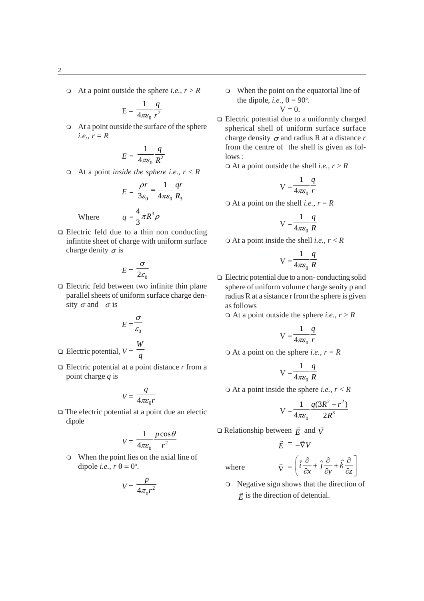At a point outside the sphere *i.e.*,  $r > R$ 

$$
E = \frac{1}{4\pi\varepsilon_0} \frac{q}{r^2}
$$

 At a point outside the surface of the sphere *i.e.*,  $r = R$ 

$$
E = \frac{1}{4\pi\varepsilon_0} \frac{q}{R^2}
$$

 $\circ$  At a point *inside the sphere i.e.*,  $r < R$ 

$$
E = \frac{\rho r}{3\varepsilon_0} = \frac{1}{4\pi\varepsilon_0} \frac{qr}{R_3}
$$

$$
q = \frac{4}{3}\pi R^3 \rho
$$

$$
4 = 3
$$
  
□ Electric field due to a thin non conducting  
infinite sheet of charge with uniform surface

Where *q =*

charge denity  $\sigma$  is

$$
E = \frac{\sigma}{2\varepsilon_0}
$$

 $\Box$  Electric feld between two infinite thin plane parallel sheets of uniform surface charge density  $\sigma$  and  $-\sigma$  is

$$
E = \frac{\sigma}{\varepsilon_0}
$$

- $\Box$  Electric potential,  $V = \frac{W}{q}$
- $\Box$  Electric potential at a point distance  $r$  from a point charge *q* is

$$
V = \frac{q}{4\pi\varepsilon_0 r}
$$

 $\Box$  The electric potential at a point due an electic dipole

$$
V = \frac{1}{4\pi\varepsilon_0} \frac{p\cos\theta}{r^2}
$$

 When the point lies on the axial line of dipole *i.e.*,  $r \theta = 0^\circ$ .

$$
V = \frac{p}{4\pi_0 r^2}
$$

 When the point on the equatorial line of the dipole, *i.e.*,  $\theta = 90^\circ$ .  $V = 0$ .

□ Electric potential due to a uniformly charged spherical shell of uniform surface surface charge density 
$$
σ
$$
 and radius R at a distance  $r$  from the centre of the shell is given as follows:

 $\circ$  At a point outside the shell *i.e.*,  $r > R$ 

$$
V = \frac{1}{4\pi\varepsilon_0} \frac{q}{r}
$$

 $\circ$  At a point on the shell *i.e.*,  $r = R$ 

$$
V = \frac{1}{4\pi\varepsilon_0} \frac{q}{R}
$$

 $\circ$  At a point inside the shell *i.e.*,  $r < R$ 

$$
V = \frac{1}{4\pi\varepsilon_0} \frac{q}{R}
$$

 $\Box$  Electric potential due to a non- conducting solid sphere of uniform volume charge senity p and radius R at a sistance r from the sphere is given as follows

 $\circ$  At a point outside the sphere *i.e.*,  $r > R$ 

$$
V = \frac{1}{4\pi\varepsilon_0} \frac{q}{r}
$$

 $\circ$  At a point on the sphere *i.e.*,  $r = R$ 

$$
V = \frac{1}{4\pi\varepsilon_0} \frac{q}{R}
$$

 $\circ$  At a point inside the sphere *i.e.*,  $r < R$ 

$$
V = \frac{1}{4\pi\varepsilon_0} \frac{q(3R^2 - r^2)}{2R^3}
$$

 $\vec{\nabla} = \left( \hat{i} \frac{\partial}{\partial x} + \hat{j} \frac{\partial}{\partial y} + \hat{k} \frac{\partial}{\partial z} \right)$ 

 $\Box$  Relationship between  $\vec{E}$  and  $\vec{V}$ 

$$
\vec{E} = -\vec{\nabla}V
$$

where

 Negative sign shows that the direction of  $\vec{E}$  is the direction of detential.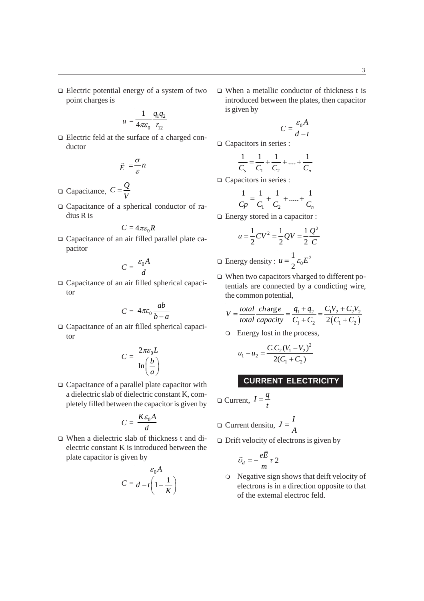$\Box$  Electric potential energy of a system of two point charges is

$$
u=\frac{1}{4\pi\varepsilon_0}\frac{q_1q_2}{r_{12}}
$$

 Electric feld at the surface of a charged conductor

$$
\vec{E} = \frac{\sigma}{\varepsilon} n
$$

- $\Box$  Capacitance,  $C = \frac{Q}{V}$
- Capacitance of a spherical conductor of radius R is

$$
C=4\pi\varepsilon_0R
$$

 Capacitance of an air filled parallel plate capacitor

$$
C = \frac{\varepsilon_0 A}{d}
$$

 Capacitance of an air filled spherical capacitor

$$
C = 4\pi\varepsilon_0 \frac{ab}{b-a}
$$

 Capacitance of an air filled spherical capacitor

$$
C = \frac{2\pi\varepsilon_0 L}{\ln\left(\frac{b}{a}\right)}
$$

□ Capacitance of a parallel plate capacitor with a dielectric slab of dielectric constant K, completely filled between the capacitor is given by

$$
C = \frac{K \varepsilon_0 A}{d}
$$

 When a dielectric slab of thickness t and dielectric constant K is introduced between the plate capacitor is given by

$$
C = \frac{\varepsilon_0 A}{d - t \left(1 - \frac{1}{K}\right)}
$$

 When a metallic conductor of thickness t is introduced between the plates, then capacitor is given by

$$
C = \frac{\varepsilon_0 A}{d - t}
$$

Capacitors in series :

$$
\frac{1}{C_s} = \frac{1}{C_1} + \frac{1}{C_2} + \dots + \frac{1}{C_n}
$$

□ Capacitors in series :

$$
\frac{1}{Cp} = \frac{1}{C_1} + \frac{1}{C_2} + \dots + \frac{1}{C_n}
$$

Energy stored in a capacitor :

$$
u = \frac{1}{2}CV^2 = \frac{1}{2}QV = \frac{1}{2}\frac{Q^2}{C}
$$

$$
\Box \text{ Energy density}: u = \frac{1}{2} \varepsilon_0 E^2
$$

 When two capacitors vharged to different potentials are connected by a condicting wire, the common potential,

$$
V = \frac{total}{total} \frac{charge}{capacity} = \frac{q_1 + q_2}{C_1 + C_2} = \frac{C_1 V_2 + C_2 V_2}{2(C_1 + C_2)}
$$

Energy lost in the process,

$$
u_1 - u_2 = \frac{C_1 C_2 (V_1 - V_2)^2}{2(C_1 + C_2)}
$$

# **CURRENT ELECTRICITY**

$$
\Box \text{ Current, } I = \frac{q}{t}
$$

$$
\Box \text{ Current density, } J = \frac{I}{A}
$$

 $\Box$  Drift velocity of electrons is given by

$$
\vec{v}_d = -\frac{e\vec{E}}{m}\tau 2
$$

 Negative sign shows that deift velocity of electrons is in a direction opposite to that of the extemal electroc feld.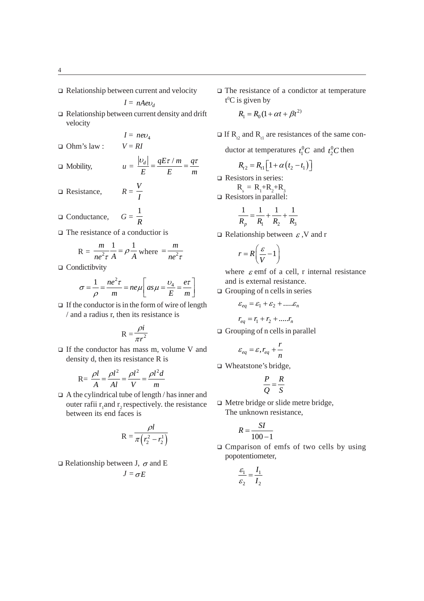$\Box$  Relationship between current and velocity

$$
I = nAev_d
$$

 $\Box$  Relationship between current density and drift velocity

 $I = nev_4$ 

 $\Box$  Ohm's law :  $V = RI$ 

$$
\Box \text{ Mobility,} \qquad u = \frac{|v_d|}{E} = \frac{qE\tau/m}{E} = \frac{q\tau}{m}
$$

- □ Resistance,  $R=\frac{V}{I}$
- Gonductance,  $G=\frac{1}{R}$
- □ The resistance of a conductior is

$$
R = \frac{m}{ne^2 \tau} \frac{1}{A} = \rho \frac{1}{A} \text{ where } = \frac{m}{ne^2 \tau}
$$

□ Condictibvity

$$
\sigma = \frac{1}{\rho} = \frac{ne^2\tau}{m} = ne\mu \left[ as\mu = \frac{v_4}{E} = \frac{e\tau}{m} \right]
$$

 $\Box$  If the conductor is in the form of wire of length / and a radius r, then its resistance is

$$
R = \frac{\rho i}{\pi r^2}
$$

 $\Box$  If the conductor has mass m, volume V and density d, then its resistance R is

$$
R = \frac{\rho l}{A} = \frac{\rho l^2}{Al} = \frac{\rho l^2}{V} = \frac{\rho l^2 d}{m}
$$

 A the cylindrical tube of length / has inner and outer rafii  $r_1$  and  $r_2$  respectively. the resistance between its end faces is

$$
R = \frac{\rho l}{\pi (r_2^2 - r_2^1)}
$$

 $\Box$  Relationship between J,  $\sigma$  and E  $J = \sigma E$ 

 $\Box$  The resistance of a condictor at temperature  $t$ <sup>0</sup>C is given by

$$
R_1 = R_0(1 + \alpha t + \beta t^{2})
$$

- $\Box$  If R<sub>2</sub> and R<sub>1</sub> are resistances of the same con
	- ductor at temperatures  $t_1^0C$  and  $t_2^0C$  then

$$
R_{t2} = R_{t1} \left[ 1 + \alpha \left( t_2 - t_1 \right) \right]
$$

Resistors in series:

 $R_s = R_1 + R_2 + R_3$ Resistors in parallel:

$$
\frac{1}{R_p} = \frac{1}{R_1} + \frac{1}{R_2} + \frac{1}{R_3}
$$

 $\Box$  Relationship between  $\varepsilon$ , V and r

$$
r = R\left(\frac{\varepsilon}{V} - 1\right)
$$

where  $\varepsilon$  emf of a cell, r internal resistance and is external resistance.

 $\Box$  Grouping of n cells in series

$$
\varepsilon_{eq} = \varepsilon_1 + \varepsilon_2 + \dots \varepsilon_n
$$

$$
r_{eq} = r_1 + r_2 + \dots r_n
$$

 $\Box$  Grouping of n cells in parallel

$$
\varepsilon_{eq} = \varepsilon, r_{eq} + \frac{r}{n}
$$

□ Wheatstone's bridge,

$$
\frac{P}{Q} = \frac{R}{S}
$$

 $\Box$  Metre bridge or slide metre bridge, The unknown resistance,

$$
R = \frac{SI}{100 - 1}
$$

*I*

 Cmparison of emfs of two cells by using popotentiometer,

$$
\frac{\varepsilon_1}{\varepsilon_2} = \frac{I_1}{I_2}
$$

 $\mathcal{L}^{\text{max}}$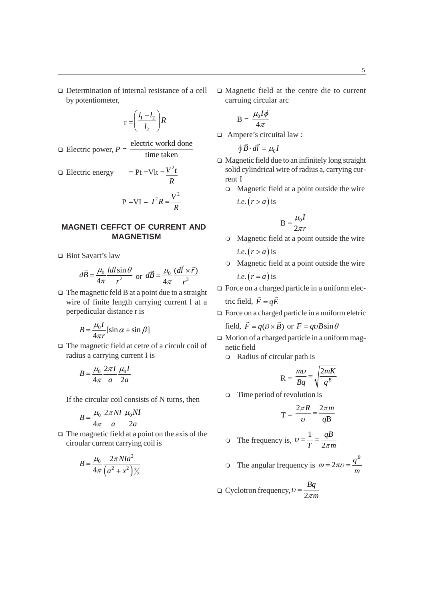□ Determination of internal resistance of a cell by potentiometer,

$$
r = \left(\frac{l_1 - l_2}{l_2}\right)R
$$

□ Electric power, 
$$
P = \frac{\text{electric workd done}}{\text{time taken}}
$$

□ Electric energy = Pt = Vlt = 
$$
\frac{V^2 t}{R}
$$
  
P = VI =  $I^2 R = \frac{V^2}{R}$ 

# **MAGNETI CEFFCT OF CURRENT AND MAGNETISM**

□ Biot Savart's law

$$
d\vec{B} = \frac{\mu_0}{4\pi} \frac{ldl \sin \theta}{r^2}
$$
 or 
$$
d\vec{B} = \frac{\mu_0}{4\pi} \frac{(d\vec{l} \times \vec{r})}{r^3}
$$

 $\Box$  The magnetic feld B at a point due to a straight wire of finite length carrying current l at a perpedicular distance r is

$$
B = \frac{\mu_0 I}{4\pi r} [\sin \alpha + \sin \beta]
$$

 The magnetic field at cetre of a circulr coil of radius a carrying current I is

$$
B = \frac{\mu_0}{4\pi} \frac{2\pi I}{a} \frac{\mu_0 I}{2a}
$$

If the circular coil consists of N turns, then

$$
B = \frac{\mu_0}{4\pi} \frac{2\pi NI}{a} \frac{\mu_0 NI}{2a}
$$

 $\Box$  The magnetic field at a point on the axis of the ciroular current carrying coil is

$$
B = \frac{\mu_0}{4\pi} \frac{2\pi N I a^2}{\left(a^2 + x^2\right) \frac{3}{2}}
$$

 Magnetic field at the centre die to current carruing circular arc

$$
B = \frac{\mu_0 I \phi}{4\pi}
$$

Ampere's circuital law :

$$
\oint \vec{B} \cdot d\vec{l} = \mu_0 I
$$

- $\Box$  Magnetic field due to an infinitely long straight solid cylindrical wire of radius a, carrying current I
	- Magnetic field at a point outside the wire  $i.e. (r > a)$  is

$$
B = \frac{\mu_0 I}{2\pi r}
$$

- Magnetic field at a point outside the wire  $i.e. (r > a)$  is
- Magnetic field at a point outside the wire  $i.e.$   $(r = a)$  is
- $\Box$  Force on a charged particle in a uniform electric field,  $\vec{F} = q\vec{E}$
- □ Force on a charged particle in a uniform eletric

field, 
$$
\vec{F} = q(\vec{v} \times \vec{B})
$$
 or  $F = qvB\sin\theta$ 

- $\Box$  Motion of a charged particle in a uniform magnetic field
	- Radius of circular path is

$$
R = \frac{mv}{Bq} = \sqrt{\frac{2mK}{q^B}}
$$

Time period of revolution is

$$
T = \frac{2\pi R}{\nu} = \frac{2\pi m}{qB}
$$

$$
\text{• The frequency is, } v = \frac{1}{T} = \frac{qB}{2\pi m}
$$

 $\circ$  The angular frequency is  $\omega = 2$ *B q m*  $\omega = 2\pi \upsilon =$ 

$$
\Box \text{ Cyclotron frequency}, \nu = \frac{Bq}{2\pi m}
$$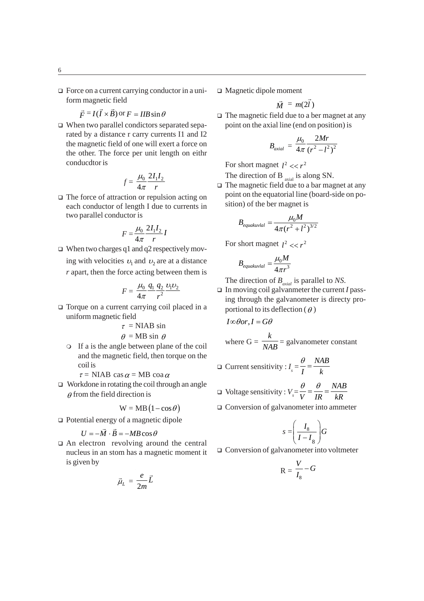$\Box$  Force on a current carrying conductor in a uniform magnetic field

$$
\vec{F} = I(\vec{I} \times \vec{B}) \text{ or } F = IIB \sin \theta
$$

 When two parallel condictors separated separated by a distance r carry currents I1 and I2 the magnetic field of one will exert a force on the other. The force per unit length on eithr conducdtor is

$$
f = \frac{\mu_0}{4\pi} \frac{2I_1 I_2}{r}
$$

 $\Box$  The force of attraction or repulsion acting on each conductor of length I due to currents in two parallel conductor is

$$
F = \frac{\mu_0}{4\pi} \frac{2I_1 I_2}{r} I
$$

 $\Box$  When two charges q1 and q2 respectively moving with velocities  $v_1$  and  $v_2$  are at a distance *r* apart, then the force acting between them is

$$
F = \frac{\mu_0}{4\pi} \frac{q_1}{r^2} \frac{v_1 v_2}{r^2}
$$

□ Torque on a current carrying coil placed in a uniform magnetic field

$$
\tau = NIAB \sin \theta
$$

$$
\theta = MB \sin \theta
$$

 If a is the angle between plane of the coil and the magnetic field, then torque on the coil is

 $\tau$  = NIAB cas  $\alpha$  = MB coa  $\alpha$ 

□ Workdone in rotating the coil through an angle  $\theta$  from the field direction is

$$
W = MB (1 - \cos \theta)
$$

□ Potential energy of a magnetic dipole

$$
U = -\vec{M} \cdot \vec{B} = -MB\cos\theta
$$

 $\Box$  An electron revolving around the central nucleus in an stom has a magnetic moment it is given by

$$
\vec{\mu}_L = \frac{e}{2m}\vec{L}
$$

Magnetic dipole moment

$$
\vec{M} = m(2\vec{l})
$$

 $\Box$  The magnetic field due to a ber magnet at any point on the axial line (end on position) is

$$
B_{axial} = \frac{\mu_0}{4\pi} \frac{2Mr}{(r^2 - l^2)^2}
$$

For short magnet  $l^2 \ll r^2$ 

The direction of B  $_{\text{axial}}$  is along SN.

□ The magnetic field due to a bar magnet at any point on the equatorial line (board-side on position) of the ber magnet is

$$
B_{equakuvl} = \frac{\mu_0 M}{4\pi (r^2 + l^2)^{3/2}}
$$

For short magnet  $l^2 \ll r^2$ 

$$
B_{equakuvlal} = \frac{\mu_0 M}{4\pi r^3}
$$

The direction of  $B_{\text{axial}}$  is parallel to *NS*.

□ In moving coil galvanmeter the current *I* passing through the galvanometer is directy proportional to its deflection ( $\theta$ )

$$
I \in \theta
$$
or,  $I = G\theta$   
where  $G = \frac{k}{NAB} = \text{galvanometer constant}$ 

$$
\Box \text{ Current sensitivity}: I_s = \frac{\theta}{I} = \frac{NAB}{k}
$$

- $\Box$  Voltage sensitivity :  $V_s = \frac{\theta}{V} = \frac{\theta}{IR} = \frac{NAB}{kR}$  $\frac{\theta}{\theta} = \frac{\theta}{\theta} =$
- Conversion of galvanometer into ammeter

$$
s = \left(\frac{I_8}{I - I_8}\right)G
$$

Conversion of galvanometer into voltmeter

$$
R = \frac{V}{I_8} - G
$$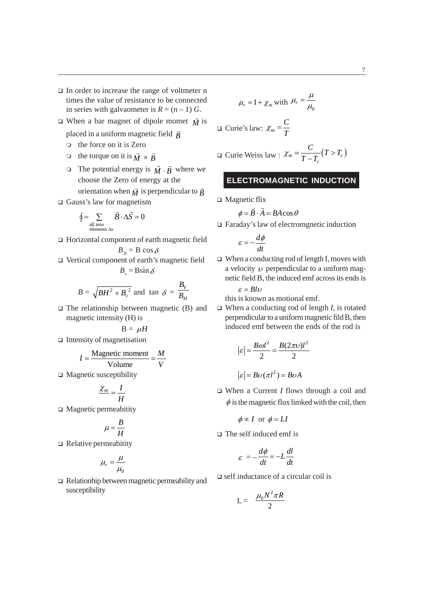- In order to increase the range of voltmeter n times the value of resistance to be connected in series with galvaometer is  $R = (n - 1)$  G.
- $\Box$  When a bar magnet of dipole momet  $\overrightarrow{M}$  is
	- placed in a uniform magnetic field *B*
	- the force on it is Zero
	- $\circ$  the torque on it is  $\vec{M} \times \vec{B}$
	- The potential energy is  $\vec{M} \cdot \vec{B}$  where we choose the Zero of energy at the orientation when  $\vec{M}$  is perpendicular to  $\vec{B}$
- Gauss's law for magnetism

$$
\oint = \sum_{\substack{\text{all area} \\ \text{elements } \Delta s}} \vec{B} \cdot \Delta \vec{S} = 0
$$

- □ Horizontal component of earth magnetic field  $B<sub>H</sub>$  = B cos  $\delta$
- Vertical component of earth's magnetic field  $B_{\mu} = \text{B}\sin\delta$

$$
B = \sqrt{BH^2 + B_v^2}
$$
 and  $\tan \delta = \frac{B_V}{B_H}$ 

 $\Box$  The relationship between magnetic (B) and magnetic intensity (H) is

$$
B = \mu H
$$

 $\Box$  Intensity of magnetisation

$$
I = \frac{\text{Magnetic moment}}{\text{Volume}} = \frac{M}{V}
$$

 $\Box$  Magnetic susceptibility

$$
\frac{\chi_m}{H} = \frac{I}{H}
$$

Magnetic permeabitity

$$
\mu = \frac{B}{H}
$$

 $\Box$  Relative permeabitity

$$
\mu_r = \frac{\mu}{\mu_0}
$$

Relationhip between magnetic permeability and susceptibility

$$
\mu_r = 1 + \chi_m \text{ with } \mu_r = \frac{\mu}{\mu_0}
$$
  

$$
\Box \text{ Curie's law: } \chi_m = \frac{C}{T}
$$
  

$$
\Box \text{ Curie Weiss law: } \chi_m = \frac{C}{T - T_c} (T > T_c)
$$

# **ELECTROMAGNETIC INDUCTION**

 $\Box$  Magnetic flix

$$
\phi = \vec{B} \cdot \vec{A} = BA \cos \theta
$$

Faraday's law of electromgnetic induction

$$
\varepsilon = -\frac{d\phi}{dt}
$$

 $\Box$  When a conducting rod of length I, moves with a velocity  $\nu$  perpendicular to a uniform magnetic field B, the induced emf across its ends is  $\epsilon = Rl\nu$ 

this is known as motional emf.

 When a conducting rod of length *I*, is rotated perpendicular to a uniform magnetic fild B, then induced emf between the ends of the rod is

$$
|\varepsilon| = \frac{B\omega l^2}{2} = \frac{B(2\pi\nu)l^2}{2}
$$

$$
|\varepsilon| = B\upsilon(\pi l^2) = B\upsilon A
$$

 When a Current *I* flows through a coil and  $\phi$  is the magnetic flux limked with the coil, then

$$
\phi \propto I
$$
 or  $\phi = LI$ 

The self induced emf is

$$
\varepsilon = -\frac{d\phi}{dt} = -L\frac{dl}{dt}
$$

 $\Box$  self inductance of a circular coil is

$$
L = \frac{\mu_0 N^2 \pi R}{2}
$$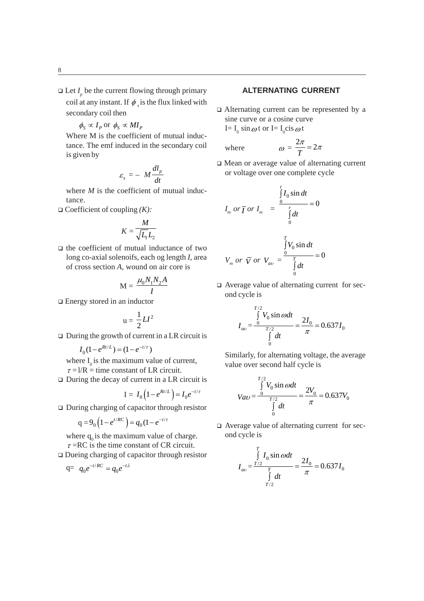- $\Box$  Let *I<sub>p</sub>* be the current flowing through primary coil at any instant. If  $\phi$  is the flux linked with secondary coil then
	- $\phi_s \propto I_p$  or  $\phi_s \propto MI_p$

Where M is the coefficient of mutual inductance. The emf induced in the secondary coil is given by

$$
\varepsilon_s = - M \frac{dl_p}{dt}
$$

where *M* is the coefficient of mutual inductance.

Coefficient of coupling *(K):*

$$
K = \frac{M}{\sqrt{L_1}L_2}
$$

 $\Box$  the coefficient of mutual inductance of two long co-axial solenoifs, each og length *I*, area of cross section *A,* wound on air core is

$$
M = \frac{\mu_0 N_1 N_2 A}{I}
$$

Energy stored in an inductor

$$
u = \frac{1}{2}LI^2
$$

 $\Box$  During the growth of current in a LR circuit is

$$
I_0(1 - e^{Rt/L}) = (1 - e^{-t/\tau})
$$

where  $I_0$  is the maximum value of current,  $\tau = 1/R =$  time constant of LR circuit.

 $\Box$  During the decay of current in a LR circuit is

$$
I = I_0 \left( 1 - e^{Rt/L} \right) = I_0 e^{-t/\tau}
$$

During charging of capacitor through resistor

$$
q = 9_0 \left( 1 - e^{t/RC} \right) = q_0 \left( 1 - e^{-t/\tau} \right)
$$

where  $q_0$  is the maximum value of charge.

- $\tau$  =RC is the time constant of CR circuit.
- Dueing charging of capacitor through resistor

$$
q = q_0 e^{-t/RC} = q_0 e^{-t\lambda}
$$

## **ALTERNATING CURRENT**

 Alternating current can be represented by a sine curve or a cosine curve

I=  $I_0$  sin  $\omega$  t or I=  $I_0$ cis  $\omega$  t

where 
$$
\omega = \frac{2\pi}{T} = 2\pi
$$

 Mean or average value of alternating current or voltage over one complete cycle

$$
I_m \text{ or } \overline{I} \text{ or } I_m = \frac{\int_{0}^{t} I_0 \sin dt}{\int_{0}^{r} dt} = 0
$$
  

$$
V_m \text{ or } \overline{V} \text{ or } V_{av} = \frac{\int_{0}^{T} V_0 \sin dt}{\int_{0}^{r} dt} = 0
$$

 Average value of alternating current for second cycle is

$$
I_{av} = \frac{\int_{0}^{T/2} V_0 \sin \omega dt}{\int_{0}^{T/2} dt} = \frac{2I_0}{\pi} = 0.637 I_0
$$

Similarly, for alternating voltage, the average value over second half cycle is

$$
V_{ab} = \frac{\int_{0}^{T/2} V_0 \sin \omega dt}{\int_{0}^{T/2} dt} = \frac{2V_0}{\pi} = 0.637V_0
$$

 Average value of alternating current for second cycle is

$$
I_{av} = \frac{\int_{T/2}^{T} I_0 \sin \omega dt}{\int_{T/2}^{T} dt} = \frac{2I_0}{\pi} = 0.637 I_0
$$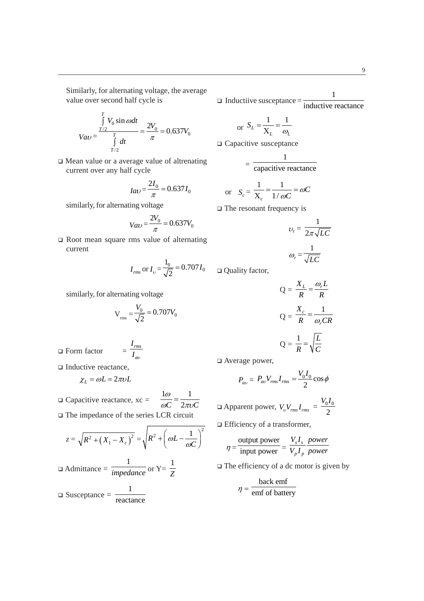Similarly, for alternating voltage, the average value over second half cycle is

$$
Var = \frac{\int_{T/2}^{T} V_0 \sin \omega dt}{\int_{T/2}^{T} dt} = \frac{2V_0}{\pi} = 0.637V_0
$$

 Mean value or a average value of altrenating current over any half cycle

$$
Ia\upsilon = \frac{2I_0}{\pi} = 0.637I_0
$$

similarly, for alternating voltage

 $\sim$ 

$$
V_{av} = \frac{2V_0}{\pi} = 0.637V_0
$$

 $\Box$  Root mean square rms value of alternating current

$$
I_{rms}
$$
 or  $I_v = \frac{1_0}{\sqrt{2}} = 0.707 I_0$ 

similarly, for alternating voltage

$$
V_{\rm rms} = \frac{V_0}{\sqrt{2}} = 0.707 V_0
$$

Form factor = *rms*

□ Inductive reactance,

$$
\chi_L = \omega L = 2\pi\nu L
$$

 $\Box$  Capacitive reactance, xc =  $1\omega$  1  $C \quad 2\pi\nu C$  $\frac{1\omega}{\omega C} = \frac{1}{2\pi\nu}$ 

*a*

*I I*

 The impedance of the series LCR circuit  $\sim$   $\sim$ 

$$
z = \sqrt{R^2 + (X_1 - X_c)^2} = \sqrt{R^2 + \left(\omega L - \frac{1}{\omega C}\right)^2}
$$
  
\n
$$
\Box \text{ Admittance} = \frac{1}{\text{impedance}} \text{ or } Y = \frac{1}{Z}
$$
  
\n
$$
\Box \text{ Susceptance} = \frac{1}{\text{reactance}}
$$

 $\Box$  Inductiive susceptance  $=\frac{1}{\text{inductive reactance}}$ 1

or 
$$
S_L = \frac{1}{X_L} = \frac{1}{\omega_L}
$$

□ Capacitive susceptance

$$
= \frac{1}{\text{capacitive reactance}}
$$

or 
$$
S_c = \frac{1}{X_c} = \frac{1}{1/\omega C} = \omega C
$$

 $\Box$  The resonant frequency is

$$
v_r = \frac{1}{2\pi\sqrt{LC}}
$$

$$
\omega_r = \frac{1}{\sqrt{LC}}
$$

Quality factor,

$$
Q = \frac{X_L}{R} = \frac{\omega_r L}{R}
$$

$$
Q = \frac{X_c}{R} = \frac{1}{\omega_r CR}
$$

$$
Q = \frac{1}{R} = \sqrt{\frac{L}{C}}
$$

□ Average power,

 $\mathcal{L}$ 

$$
P_{av} = P_{av} V_{rms} I_{rms} = \frac{V_0 I_0}{2} \cos \phi
$$

 $\Box$  Apparent power,  $V_v V_{rms} I_{rms} = \frac{V_0 I_0}{2}$  $V_0 I$ 

□ Efficiency of a transformer,

$$
\eta = \frac{\text{output power}}{\text{input power}} = \frac{V_s I_s}{V_p I_p} \frac{\text{power}}{\text{power}}
$$

 $\Box$  The efficiency of a dc motor is given by

 $\sim 10$ 

$$
\eta = \frac{\text{back emf}}{\text{emf of battery}}
$$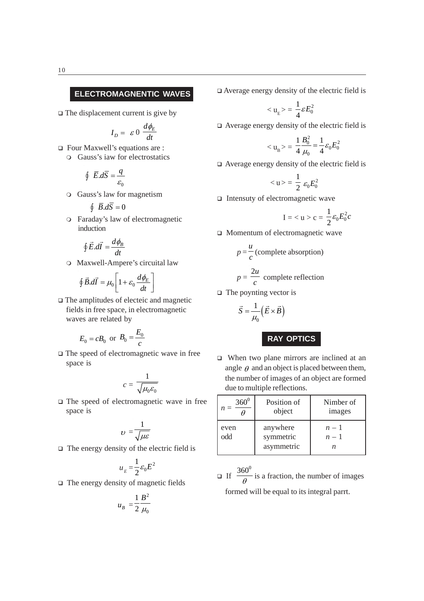# **ELECTROMAGNENTIC WAVES**

 $\Box$  The displacement current is give by

$$
I_D = \varepsilon \, 0 \, \frac{d\phi_E}{dt}
$$

 Four Maxwell's equations are : Gauss's iaw for electrostatics

$$
\oint \vec{E} \cdot d\vec{S} = \frac{q}{\varepsilon_0}
$$

Gauss's law for magnetism

$$
\oint \ \overline{B} . d\overline{S} = 0
$$

Faraday's law of electromagnetic induction

$$
\oint \vec{E} \cdot d\vec{l} = \frac{d\phi_B}{dt}
$$

Maxwell-Ampere's circuital law

$$
\oint \vec{B}.\vec{dI} = \mu_0 \left[ 1 + \varepsilon_0 \frac{d\phi_E}{dt} \right]
$$

 The amplitudes of electeic and magnetic fields in free space, in electromagnetic waves are related by

$$
E_0 = cB_0
$$
 or  $B_0 = \frac{E_0}{c}$ 

 $\square$  The speed of electromagnetic wave in free space is

$$
c = \frac{1}{\sqrt{\mu_0 \varepsilon_0}}
$$

 The speed of electromagnetic wave in free space is

$$
v = \frac{1}{\sqrt{\mu \varepsilon}}
$$

 $\Box$  The energy density of the electric field is

$$
u_{E} = \frac{1}{2} \varepsilon_0 E^2
$$

 $\Box$  The energy density of magnetic fields

$$
u_B = \frac{1}{2} \frac{B^2}{\mu_0}
$$

 $\Box$  Average energy density of the electric field is

$$
\langle u_{\rm E} \rangle = \frac{1}{4} \varepsilon E_0^2
$$

Average energy density of the electric field is

$$
\langle u_{\rm B} \rangle = \frac{1}{4} \frac{B_0^2}{\mu_0} = \frac{1}{4} \varepsilon_0 E_0^2
$$

Average energy density of the electric field is

$$
\langle u \rangle = \frac{1}{2} \varepsilon_0 E_0^2
$$

 $\Box$  Intensuty of electromagnetic wave

$$
I=c=\frac{1}{2}\varepsilon_0 E_0^2 c
$$

□ Momentum of electromagnetic wave

$$
p = \frac{u}{c}
$$
 (complete absorption)  
2u

$$
p = \frac{2u}{c}
$$
 complete reflection

 $\Box$  The poynting vector is

$$
\vec{S} = \frac{1}{\mu_0} \left( \vec{E} \times \vec{B} \right)
$$

**RAY OPTICS**

□ When two plane mirrors are inclined at an angle  $\theta$  and an object is placed between them, the number of images of an object are formed due to multiple reflections.

| $360^0$     | Position of                         | Nimber of      |
|-------------|-------------------------------------|----------------|
| $n =$       | object                              | images         |
| even<br>odd | anywhere<br>symmetric<br>asymmetric | $n-1$<br>$n-1$ |

 $\Box$  If  $\frac{360^0}{9}$  $\frac{30}{\theta}$  is a fraction, the number of images formed will be equal to its integral parrt.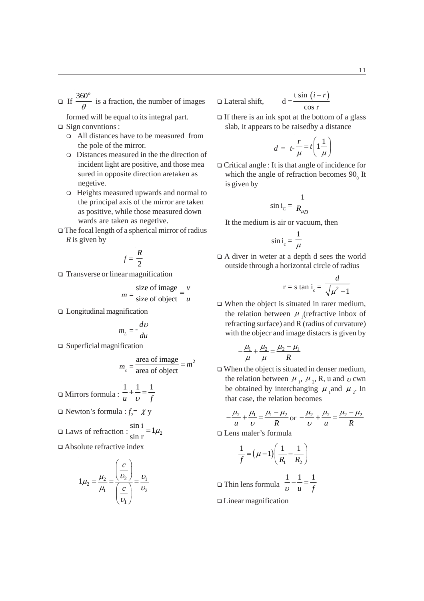11

If  $\frac{360^o}{\theta}$  is a fraction, the number of images

formed will be equal to its integral part.  $\Box$  Sign convitions :

- All distances have to be measured from the pole of the mirror.
- Distances measured in the the direction of incident light are positive, and those mea sured in opposite direction aretaken as negetive.
- Heights measured upwards and normal to the principal axis of the mirror are taken as positive, while those measured down wards are taken as negetive.
- The focal length of a spherical mirror of radius *R* is given by

$$
f=\frac{R}{2}
$$

□ Transverse or linear magnification

$$
m = \frac{\text{size of image}}{\text{size of object}} = \frac{v}{u}
$$

Longitudinal magnification

$$
m_{L} = -\frac{dv}{du}
$$

□ Superficial magnification

$$
m_s = \frac{\text{area of image}}{\text{area of object}} = m^2
$$

$$
\Box \text{ Mirrors formula}: \frac{1}{u} + \frac{1}{v} = \frac{1}{f}
$$

 $\Box$  Newton's formula :  $f_2 = \chi y$ 

$$
\Box
$$
 Laws of refraction :  $\frac{\sin i}{\sin r} = 1\mu_2$ 

Absolute refractive index

$$
1\mu_2 = \frac{\mu_2}{\mu_1} = \frac{\left(\frac{c}{v_2}\right)}{\left(\frac{c}{v_1}\right)} = \frac{v_1}{v_2}
$$

$$
\Box \text{ Lateral shift}, \qquad d = \frac{t \sin (i - r)}{\cos r}
$$

 $\Box$  If there is an ink spot at the bottom of a glass slab, it appears to be raisedby a distance

$$
d = t - \frac{r}{\mu} = t \left( 1 \frac{1}{\mu} \right)
$$

 Critical angle : It is that angle of incidence for which the angle of refraction becomes  $90<sub>o</sub>$  It is given by

$$
\sin i_{\rm C} = \frac{1}{R_{\mu D}}
$$

It the medium is air or vacuum, then

$$
\sin i_{\rm c} = \frac{1}{\mu}
$$

 A diver in weter at a depth d sees the world outside through a horizontal circle of radius

$$
r = s \tan i_c = \frac{d}{\sqrt{\mu^2 - 1}}
$$

 When the object is situated in rarer medium, the relation between  $\mu$ <sub>1</sub> (refractive inbox of refracting surface) and R (radius of curvature) with the objecr and image distacrs is given by

$$
-\frac{\mu_1}{\mu} + \frac{\mu_2}{\mu} = \frac{\mu_2 - \mu_1}{R}
$$

□ When the object is situated in denser medium, the relation between  $\mu_1$ ,  $\mu_2$ , R, u and  $\nu$  cwn be obtained by interchanging  $\mu_1$  and  $\mu_2$ . In that case, the relation becomes

$$
-\frac{\mu_2}{u} + \frac{\mu_1}{v} = \frac{\mu_1 - \mu_2}{R}
$$
 or 
$$
-\frac{\mu_2}{v} + \frac{\mu_2}{u} = \frac{\mu_2 - \mu_2}{R}
$$

Lens maler's formula

$$
\frac{1}{f} = \left(\mu - 1\right) \left(\frac{1}{R_1} - \frac{1}{R_2}\right)
$$

 Thin lens formula 11 1 *u f*  $-\frac{1}{x}$  =

Linear magnification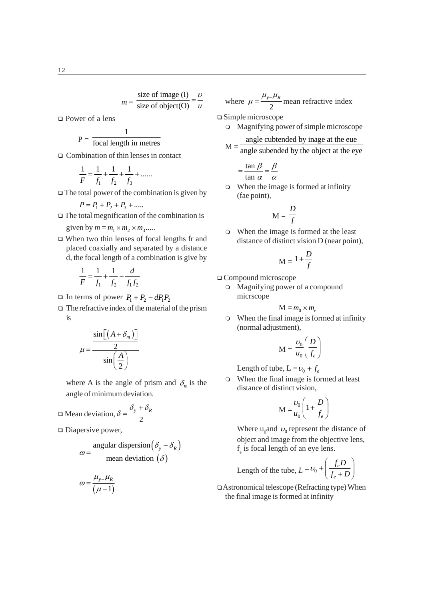$$
m = \frac{\text{size of image (I)}}{\text{size of object (O)}} = \frac{v}{u}
$$

Power of a lens

$$
P = \frac{1}{\text{focal length in metres}}
$$

Combination of thin lenses in contact

$$
\frac{1}{F} = \frac{1}{f_1} + \frac{1}{f_2} + \frac{1}{f_3} + \dots
$$

 $\Box$  The total power of the combination is given by

$$
P = P_1 + P_2 + P_3 + \dots
$$

 $\Box$  The total megnification of the combination is

given by 
$$
m = m_1 \times m_2 \times m_3 \dots
$$

 When two thin lenses of focal lengths fr and placed coaxially and separated by a distance d, the focal length of a combination is give by

$$
\frac{1}{F} = \frac{1}{f_1} + \frac{1}{f_2} - \frac{d}{f_1 f_2}
$$

- In terms of power  $P_1 + P_2 dP_1P_2$
- $\Box$  The refractive index of the material of the prism is

$$
\mu = \frac{\sin\left[\left(A + \delta_m\right)\right]}{2}
$$

$$
\sin\left(\frac{A}{2}\right)
$$

where A is the angle of prism and  $\delta_m$  is the angle of minimum deviation.

$$
\Box \text{ Mean deviation, } \delta = \frac{\delta_y + \delta_R}{2}
$$

 $\Box$  Diapersive power,

$$
\omega = \frac{\text{angular dispersion}\left(\delta_y - \delta_R\right)}{\text{mean deviation } (\delta)}
$$

$$
\omega = \frac{\mu_{y-} \mu_R}{\left(\mu - 1\right)}
$$

where 
$$
\mu = \frac{\mu_y - \mu_R}{2}
$$
 mean refractive index

Simple microscope

- Magnifying power of simple microscope angle cubtended by inage at the eue
- $M = \frac{1}{\text{angle subended by the object at the eye}}$

$$
= \frac{\tan \beta}{\tan \alpha} = \frac{\beta}{\alpha}
$$

 When the image is formed at infinity (fae point),

$$
M = \frac{D}{f}
$$

 When the image is formed at the least distance of distinct vision D (near point),

$$
M = 1 + \frac{D}{f}
$$

Compound microscope

 Magnifying power of a compound micrscope

$$
M = m_0 \times m_e
$$

 When the final image is formed at infinity (normal adjustment),

$$
\mathbf{M} = \frac{\upsilon_0}{u_0} \left( \frac{D}{f_e} \right)
$$

Length of tube,  $L = v_0 + f_e$ 

 When the final image is formed at least distance of distinct vision,

$$
M = \frac{v_0}{u_0} \left( 1 + \frac{D}{f_e} \right)
$$

Where  $u_0$  and  $v_0$  represent the distance of object and image from the objective lens,  $f_{\rm e}$  is focal length of an eye lens.

Length of the tube, 
$$
L = \nu_0 + \left(\frac{f_e D}{f_e + D}\right)
$$

 Astronomical telescope (Refracting type) When the final image is formed at infinity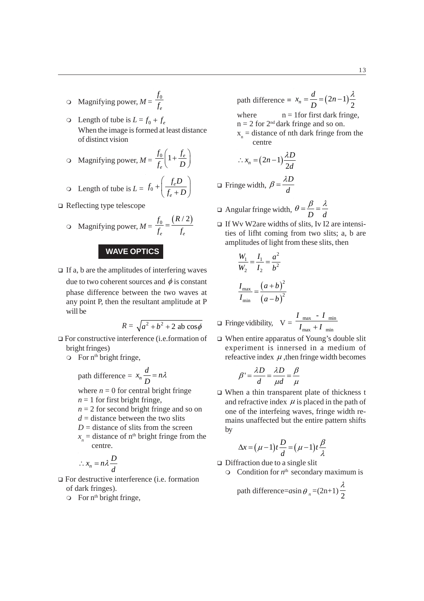- $\circ$  Magnifying power,  $M = \frac{J_0}{f_e}$ *f f*
- $\circ$  Length of tube is  $L = f_0 + f_e$ When the image is formed at least distance of distinct vision
- O Magnifying power,  $M = \frac{J_0}{f_e} \left( 1 + \frac{J_e}{D} \right)$  $f_0$   $\begin{array}{cc} f_1 & f_2 \end{array}$  $\frac{f_0}{f_e} \left( 1 + \frac{f_e}{D} \right)$

$$
\text{O Length of tube is } L = f_0 + \left(\frac{f_e D}{f_e + D}\right)
$$

Reflecting type telescope

$$
\text{O}\quad\text{Magnifying power,}\,M = \frac{f_0}{f_e} = \frac{(R/2)}{f_e}
$$

### **WAVE OPTICS**

 $\Box$  If a, b are the amplitudes of interfering waves due to two coherent sources and  $\phi$  is constant phase difference between the two waves at any point P, then the resultant amplitude at P will be

$$
R = \sqrt{a^2 + b^2 + 2 \text{ ab } \cos \phi}
$$

- For constructive interference (i.e.formation of bright fringes)
	- $\circ$  For n<sup>th</sup> bright fringe,

path difference =  $x_n$  $x_n \frac{d}{D} = n\lambda$ 

where  $n = 0$  for central bright fringe

- $n = 1$  for first bright fringe,
- $n = 2$  for second bright fringe and so on
- $d =$  distance between the two slits
- $D =$  distance of slits from the screen
- $x_n$  = distance of n<sup>th</sup> bright fringe from the centre.

$$
\therefore x_n = n\lambda \frac{D}{d}
$$

- □ For destructive interference (i.e. formation of dark fringes).
	- $\circ$  For n<sup>th</sup> bright fringe,

path difference =  $x_n = \frac{a}{D} = (2n-1)\frac{\pi}{2}$  $x_n = \frac{d}{1} = (2n)$ *D*  $=\frac{d}{2}=(2n-1)\frac{\lambda}{2}$ where  $n = 1$  for first dark fringe,  $n = 2$  for  $2<sup>nd</sup>$  dark fringe and so on.  $x_{n}$  = distance of nth dark fringe from the centre

$$
\therefore x_n = (2n-1)\frac{\lambda D}{2d}
$$

 $\Box$  Fringe width, *D d*  $\beta = \frac{\lambda}{\sqrt{2}}$ 

Angular fringe width,  $\theta = \frac{\beta}{D} = \frac{\lambda}{d}$ 

If Wy W2are widths of slits, Iy I2 are intensities of lifht coming from two slits; a, b are amplitudes of light from these slits, then

$$
\frac{W_1}{W_2} = \frac{I_1}{I_2} = \frac{a^2}{b^2}
$$

$$
\frac{I_{\text{max}}}{I_{\text{min}}} = \frac{(a+b)^2}{(a-b)^2}
$$

$$
\Box \text{ Fringe vidibility, } V = \frac{I_{\text{max}} - I_{\text{min}}}{I_{\text{max}} + I_{\text{min}}}
$$

 When entire apparatus of Young's double slit experiment is innersed in a medium of refeactive index  $\mu$ , then fringe width becomes

$$
\beta' = \frac{\lambda D}{d} = \frac{\lambda D}{\mu d} = \frac{\beta}{\mu}
$$

□ When a thin transparent plate of thickness t and refractive index  $\mu$  is placed in the path of one of the interfeing waves, fringe width remains unaffected but the entire pattern shifts by

$$
\Delta x = (\mu - 1)t \frac{D}{d} = (\mu - 1)t \frac{\beta}{\lambda}
$$

- $\Box$  Diffraction due to a single slit
	- $\circ$  Condition for  $n^{\text{th}}$  secondary maximum is

path difference= $a\sin\theta_n$  = (2n+1)  $\frac{\lambda}{2}$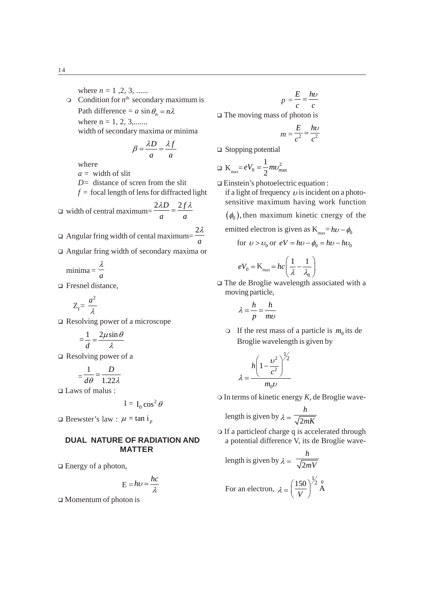where  $n = 1, 2, 3, \dots$  $\circ$  Condition for  $n^{\text{th}}$  secondary maximum is Path difference =  $a \sin \theta_n = n\lambda$ where  $n = 1, 2, 3, \dots$ width of secondary maxima or minima  $\overline{f}$   $\overline{f}$   $\overline{f}$   $\overline{f}$   $\overline{f}$   $\overline{f}$   $\overline{f}$   $\overline{f}$   $\overline{f}$   $\overline{f}$   $\overline{f}$   $\overline{f}$   $\overline{f}$   $\overline{f}$   $\overline{f}$   $\overline{f}$   $\overline{f}$   $\overline{f}$   $\overline{f}$   $\overline{f}$   $\overline{f}$   $\overline{f}$   $\overline{f}$   $\overline{f}$   $\overline{$ 

$$
\beta = \frac{\lambda D}{a} = \frac{\lambda f}{a}
$$

where

*a =* width of slit

*D=* distance of scren from the slit

- $f =$  focal length of lens for diffracted light
- width of central maximum=  $2\lambda D$   $2f$ *a a*  $\frac{\lambda D}{\lambda} = \frac{2f\lambda}{\lambda}$
- Angular fring width of cental maximum= $\frac{2a}{a}$  $2\lambda$
- Angular fring width of secondary maxima or

$$
minima = \frac{\lambda}{a}
$$

□ Fresnel distance,

$$
Z_{\rm F}^{}{=}\,\frac{a^2}{\lambda}
$$

Resolving power of a microscope

$$
=\frac{1}{d}=\frac{2\mu\sin\theta}{\lambda}
$$

 $\Box$  Resolving power of a

$$
=\frac{1}{d\theta}=\frac{D}{1.22\lambda}
$$

Laws of malus :

$$
I = I_0 \cos^2 \theta
$$

 $\Box$  Brewster's law :  $\mu = \tan i_p$ 

# **DUAL NATURE OF RADIATION AND MATTER**

 $\Box$  Energy of a photon,

$$
E = h\nu = \frac{hc}{\lambda}
$$

 $\Box$  Momentum of photon is

$$
p = \frac{E}{c} = \frac{h\nu}{c}
$$

 $\Box$  The moving mass of photon is

$$
m = \frac{E}{c^2} = \frac{h\nu}{c^2}
$$

□ Stopping potential

$$
\Box K_{\text{max}} = eV_0 = \frac{1}{2}mv_{\text{max}}^2
$$

Einstein's photoelectric equation :

if a light of frequency  $\nu$  is incident on a photosensitive maximum having work function

 $(\phi_0)$ , then maximum kinetic cnergy of the

emitted electron is given as 
$$
K_{\text{max}} = h\nu - \phi_0
$$

for  $v > v_0$  or  $eV = hv - \phi_0 = hv - hv_0$ 

$$
eV_0 = \mathbf{K}_{\text{max}} = hc\left(\frac{1}{\lambda} - \frac{1}{\lambda_0}\right)
$$

 The de Broglie wavelength associated with a moving particle,

$$
\lambda = \frac{h}{p} = \frac{h}{mv}
$$

If the rest mass of a particle is  $m_0$  its de Broglie wavelength is given by

$$
\lambda = \frac{h \left(1 - \frac{v^2}{c^2}\right)^{\frac{1}{2}}}{m_0 v}
$$

In terms of kinetic energy *K*, de Broglie wave-

length is given by  $\lambda = \sqrt{2}$ *h mK*

 If a particleof charge q is accelerated through a potential difference V, its de Broglie wave-

length is given by 
$$
\lambda = \frac{h}{\sqrt{2mV}}
$$
  
For an electron,  $\lambda = \left(\frac{150}{V}\right)^{\frac{1}{2}} \stackrel{0}{A}$ 

14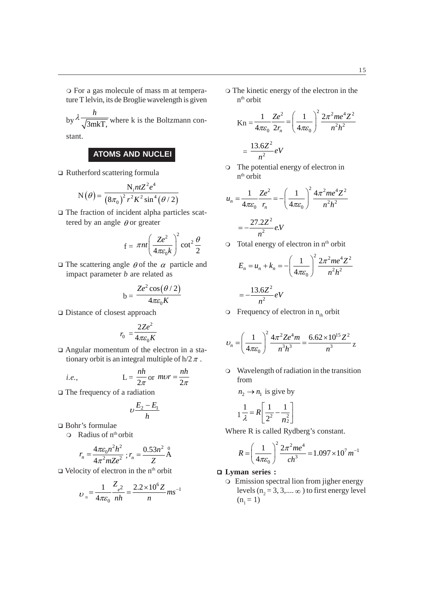by  $\lambda \frac{h}{\sqrt{3m kT}}$ , where k is the Boltzmann con-

stant.

# **ATOMS AND NUCLEI**

Rutherford scattering formula

$$
N(\theta) = \frac{N_{i}ntZ^{2}e^{4}}{(8\pi_{0})^{2}r^{2}K^{2}\sin^{4}(\theta/2)}
$$

 The fraction of incident alpha particles scattered by an angle  $\theta$  or greater

$$
f = \pi nt \left(\frac{Ze^2}{4\pi \varepsilon_0 k}\right)^2 \cot^2 \frac{\theta}{2}
$$

 $\Box$  The scattering angle  $\theta$  of the  $\alpha$  particle and impact parameter *b* are related as

$$
b = \frac{Ze^2 \cos(\theta/2)}{4\pi \varepsilon_0 K}
$$

Distance of closest approach

$$
r_0 = \frac{2Ze^2}{4\pi\varepsilon_0 K}
$$

 Angular momentum of the electron in a stationary orbit is an integral multiple of  $h/2 \pi$ .

*i.e.*, 
$$
L = \frac{nh}{2\pi} \text{ or } mvr = \frac{nh}{2\pi}
$$

The frequency of a radiation

$$
\upsilon\frac{E_2-E_1}{h}
$$

Bohr's formulae

÷.

 $\Omega$  Radius of  $n^{th}$  orbit

$$
r_n = \frac{4\pi\varepsilon_0 n^2 h^2}{4\pi^2 mZe^2}; r_n = \frac{0.53n^2}{Z} \text{A}
$$

 $\Box$  Velocity of electron in the n<sup>th</sup> orbit

$$
v_n = \frac{1}{4\pi\varepsilon_0} \frac{Z_{e^2}}{nh} = \frac{2.2 \times 10^6 Z}{n} m s^{-1}
$$

 The kinetic energy of the electron in the  $n<sup>th</sup>$  orbit

$$
\begin{aligned} \text{Kn} &= \frac{1}{4\pi\varepsilon_0} \frac{Ze^2}{2r_n} = \left(\frac{1}{4\pi\varepsilon_0}\right)^2 \frac{2\pi^2 m e^4 Z^2}{n^2 h^2} \\ &= \frac{13.6Z^2}{n^2} eV \end{aligned}
$$

 The potential energy of electron in n<sup>th</sup> orbit

$$
u_n = \frac{1}{4\pi\varepsilon_0} \frac{Ze^2}{r_n} = -\left(\frac{1}{4\pi\varepsilon_0}\right)^2 \frac{4\pi^2me^4Z^2}{n^2h^2}
$$

$$
= -\frac{27.2Z^2}{n^2}eV
$$

 $\circ$  Total energy of electron in  $n<sup>th</sup>$  orbit

$$
E_n = u_n + k_n = -\left(\frac{1}{4\pi\varepsilon_0}\right)^2 \frac{2\pi^2 m e^4 Z^2}{n^2 h^2}
$$

$$
= -\frac{13.6Z^2}{n^2} eV
$$

 $\circ$  Frequency of electron in  $n_{th}$  orbit

$$
v_n = \left(\frac{1}{4\pi\varepsilon_0}\right)^2 \frac{4\pi^2 Ze^4 m}{n^3 h^3} = \frac{6.62 \times 10^{15} Z^2}{n^3} z
$$

 Wavelength of radiation in the transition from

$$
n_2 \to n_1 \text{ is give by}
$$

$$
1\frac{1}{\lambda} = R \left[ \frac{1}{2^2} - \frac{1}{n_2^2} \right]
$$

Where R is called Rydberg's constant.

$$
R = \left(\frac{1}{4\pi\varepsilon_0}\right)^2 \frac{2\pi^2me^4}{ch^3} = 1.097 \times 10^7 m^{-1}
$$

## **Lyman series :**

Emission spectral lion from jigher energy levels ( $n_2 = 3, 3, \dots \infty$ ) to first energy level  $(n_1 = 1)$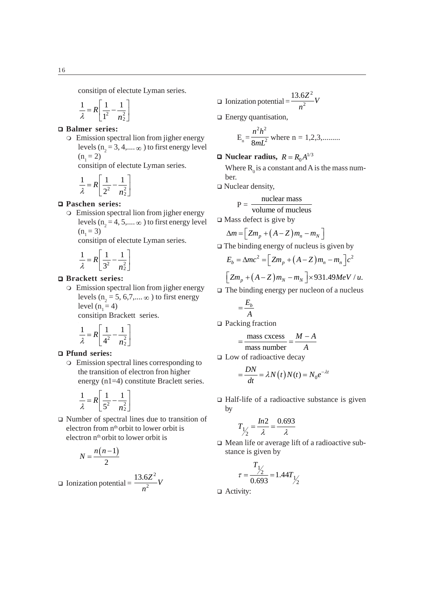consitipn of electute Lyman series.

$$
\frac{1}{\lambda} = R \left[ \frac{1}{1^2} - \frac{1}{n^2} \right]
$$

# **Balmer series:**

Emission spectral lion from jigher energy levels ( $n_2 = 3, 4, \dots \infty$ ) to first energy level  $(n_1 = 2)$ 

consitipn of electute Lyman series.

$$
\frac{1}{\lambda} = R \left[ \frac{1}{2^2} - \frac{1}{n_2^2} \right]
$$

### **Paschen series:**

Emission spectral lion from jigher energy levels ( $n_2 = 4, 5,... \infty$  ) to first energy level  $(n_1 = 3)$ 

consitipn of electute Lyman series.

$$
\frac{1}{\lambda} = R \left[ \frac{1}{3^2} - \frac{1}{n_2^2} \right]
$$

#### **Brackett series:**

Emission spectral lion from jigher energy levels ( $n_2 = 5, 6, 7, \dots \infty$ ) to first energy level  $(n_1 = 4)$ 

consitipn Brackett series.

$$
\frac{1}{\lambda} = R \left[ \frac{1}{4^2} - \frac{1}{n_2^2} \right]
$$

#### **Pfund series:**

Emission spectral lines corresponding to the transition of electron fron higher energy (n1=4) constitute Braclett series.

$$
\frac{1}{\lambda} = R \left[ \frac{1}{5^2} - \frac{1}{n_2^2} \right]
$$

 Number of spectral lines due to transition of electron from n<sup>th</sup> orbit to lower orbit is electron n<sup>th</sup> orbit to lower orbit is

$$
N = \frac{n(n-1)}{2}
$$

 $\Box$  Ionization potential  $=$ 2  $\frac{13.6Z^2}{n^2}V$ *n*

□ Ionization potential = 
$$
\frac{13.6Z^2}{n^2}V
$$

□ Energy quantisation,

$$
E_n = \frac{n^2 h^2}{8mL^2}
$$
 where n = 1,2,3,........

 $\Box$  Nuclear radius,  $R = R_0 A^{1/3}$ 

Where  $R_0$  is a constant and A is the mass number.

 $\Box$  Nuclear density,

$$
P = \frac{nuclear mass}{volume of nucleus}
$$

 $\square$  Mass defect is give by

$$
\Delta m = \left[ Zm_p + (A - Z)m_n - m_N \right]
$$

 $\Box$  The binding energy of nucleus is given by

$$
E_b = \Delta mc^2 = \left[ Zm_p + \left( A - Z \right) m_n - m_n \right] c^2
$$

$$
\left[ Zm_p + (A-Z)m_N - m_N \right] \times 931.49 MeV / u.
$$

 $\Box$  The binding energy per nucleon of a nucleus

$$
=\frac{E_b}{A}
$$

□ Packing fraction

$$
=\frac{\text{mass excess}}{\text{mass number}} = \frac{M-A}{A}
$$

□ Low of radioactive decay

$$
=\frac{DN}{dt} = \lambda N(t)N(t) = N_0 e^{-\lambda t}
$$

 $\Box$  Half-life of a radioactive substance is given by

$$
T_{\frac{1}{2}} = \frac{In2}{\lambda} = \frac{0.693}{\lambda}
$$

 Mean life or average lift of a radioactive substance is given by

$$
\tau = \frac{T_{1/2}}{0.693} = 1.44 T_{1/2}
$$

□ Activity: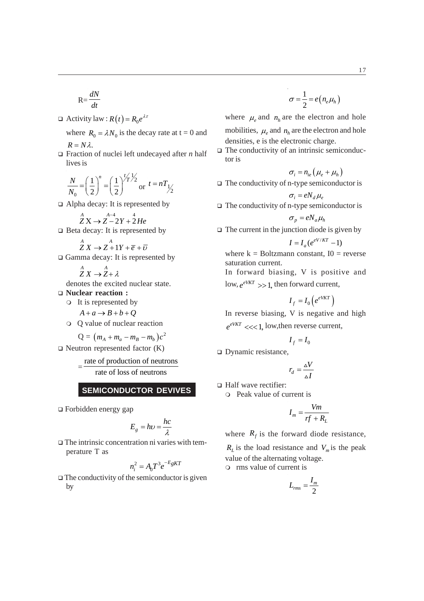$$
R = \frac{dN}{dt}
$$

 $\Box$  Activity law :  $R(t) = R_0 e^{\lambda \tau}$ 

where  $R_0 = \lambda N_0$  is the decay rate at t = 0 and  $R = N\lambda$ .

 Fraction of nuclei left undecayed after *n* half lives is

$$
\frac{N}{N_0} = \left(\frac{1}{2}\right)^n = \left(\frac{1}{2}\right)^{\frac{t}{T}} \frac{1}{2} \text{ or } t = nT_{\frac{1}{2}}
$$

□ Alpha decay: It is represented by

$$
\overset{A}{Z}X \rightarrow \overset{A-4}{Z-2}Y + \overset{4}{2}He
$$

 $\Box$  Beta decay: It is represented by

$$
\overset{A}{Z}X \to \overset{A}{Z} + 1Y + \overline{e} + \overline{v}
$$

 $\Box$  Gamma decay: It is represented by

$$
\overset{A}{Z}X \to \overset{A}{Z} + \lambda
$$

denotes the excited nuclear state.

- **Nuclear reaction :**
	- It is represented by

$$
A + a \rightarrow B + b + Q
$$

Q value of nuclear reaction

$$
Q = (m_A + m_a - m_B - m_b)c^2
$$

 $\Box$  Neutron represented factor  $(K)$ 

$$
= \frac{\text{rate of production of neutrons}}{\text{rate of loss of neutrons}}
$$

**SEMICONDUCTOR DEVIVES**

Forbidden energy gap

$$
E_g = h\nu = \frac{hc}{\lambda}
$$

 $\Box$  The intrinsic concentration ni varies with temperature T as

$$
n_i^2 = A_0 T^3 e^{-E_g K T}
$$

 $\Box$  The conductivity of the semiconductor is given by

$$
\sigma = \frac{1}{2} = e(n_e \mu_h)
$$

where  $\mu_e$  and  $n_h$  are the electron and hole mobilities,  $\mu$  and  $n_h$  are the electron and hole densities, e is the electronic charge.

 $\Box$  The conductivity of an intrinsic semiconductor is

$$
\sigma_i = n_{ie} \left( \mu_e + \mu_h \right)
$$

 $\Box$  The conductivity of n-type semiconductor is

$$
\sigma_i = e N_d \mu_e
$$

 $\Box$  The conductivity of n-type semiconductor is

$$
\sigma_p = e N_a \mu_h
$$

 $\Box$  The current in the junction diode is given by

$$
I = I_a (e^{eV/KT} - 1)
$$

where  $k = Boltzmann constant$ ,  $I0 = reverse$ saturation current. In forward biasing, V is positive and

 $\log_e e^{i\pi}$   $\gg$  1, then forward current,

$$
I_f = I_0 \left( e^{eVKT} \right)
$$

In reverse biasing, V is negative and high  $e^{eVKT}$   $<<$  1, low, then reverse current,

$$
I_f = I_0
$$

□ Dynamic resistance,

$$
r_d = \frac{\Delta V}{\Delta I}
$$

□ Half wave rectifier:

Peak value of current is

$$
I_m = \frac{Vm}{rf + R_L}
$$

where  $R_f$  is the forward diode resistance,

 $R_L$  is the load resistance and  $V_m$  is the peak value of the alternating voltage.

rms value of current is

$$
L_{rms} = \frac{I_m}{2}
$$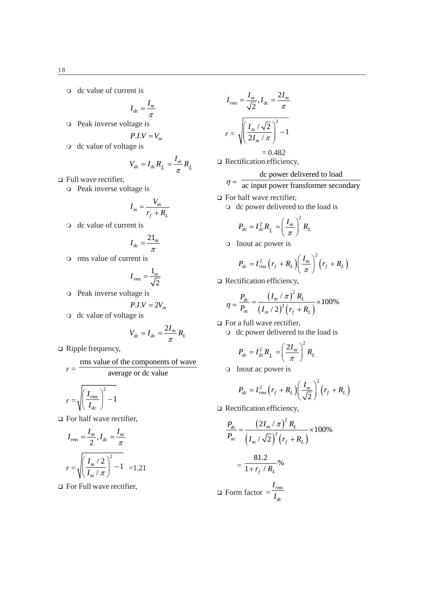dc value of current is

$$
I_{dc} = \frac{I_m}{\pi}
$$

- $\circ$  Peak inverse voltage is
- $P.I.V = V_m$
- o dc value of voltage is

$$
V_{dc} = I_{dc}R_L = \frac{I_m}{\pi}R_L
$$

□ Full wave rectifier,

o Peak inverse voltage is

$$
I_m = \frac{V_m}{r_f + R_L}
$$

o dc value of current is

$$
I_{dc} = \frac{21_m}{\pi}
$$

rms value of current is

$$
I_{rms} = \frac{1_m}{\sqrt{2}}
$$

Peak inverse voltage is

$$
P.I.V = 2V_m
$$

o dc value of voltage is

$$
V_{dc} = I_{dc} = \frac{2I_m}{\pi} R_L
$$

□ Ripple frequency,

$$
r = \frac{\text{rms value of the components of wave}}{\text{average or dc value}}
$$

$$
r = \sqrt{\left(\frac{I_{rms}}{I_{dc}}\right)^2 - 1}
$$

 $\Box$  For half wave rectifier,

$$
I_{rms} = \frac{I_m}{2}, I_{dc} = \frac{I_m}{\pi}
$$

$$
r = \sqrt{\left(\frac{I_m/2}{I_m/\pi}\right)^2 - 1} = 1.21
$$

 $\Box$  For Full wave rectifier,

$$
I_{rms} = \frac{I_m}{\sqrt{2}}, I_{dc} = \frac{2I_m}{\pi}
$$

$$
r = \sqrt{\left(\frac{I_m / \sqrt{2}}{2I_m / \pi}\right)^2 - 1}
$$

$$
= 0.482
$$

□ Rectification efficiency,

 $\eta = \frac{d\mathbf{c}}{d\mathbf{c}}$  input power fransformer secondary

- □ For half wave rectifier,
	- o dc power delivered to the load is

$$
P_{dc} = I_{dc}^2 R_L = \left(\frac{I_m}{\pi}\right)^2 R_L
$$

Inout ac power is

$$
P_{dc} = I_{rms}^2 \left( r_f + R_L \right) \left( \frac{I_m}{\pi} \right)^2 \left( r_f + R_L \right)
$$

□ Rectification efficiency,

$$
\eta = \frac{P_{dc}}{P_{ac}} = \frac{\left(I_m / \pi\right)^2 R_L}{\left(I_m / 2\right)^2 \left(r_f + R_L\right)} \times 100\%
$$

- □ For a full wave rectifier,
	- o dc power delivered to the load is

$$
P_{dc} = I_{dc}^2 R_L = \left(\frac{2I_m}{\pi}\right)^2 R_L
$$

o Inout ac power is

$$
P_{dc} = I_{rms}^2 \left( r_f + R_L \right) \left( \frac{I_m}{\sqrt{2}} \right)^2 \left( r_f + R_L \right)
$$

□ Rectification efficiency,

$$
\frac{P_{dc}}{P_{ac}} = \frac{\left(2I_m / \pi\right)^2 R_L}{\left(I_m / \sqrt{2}\right)^2 \left(r_f + R_L\right)} \times 100\%
$$
\n
$$
= \frac{81.2}{1 + r_f / R_L} \%
$$
\n
$$
\Box \text{ Form factor} = \frac{I_{rms}}{I_{dc}}
$$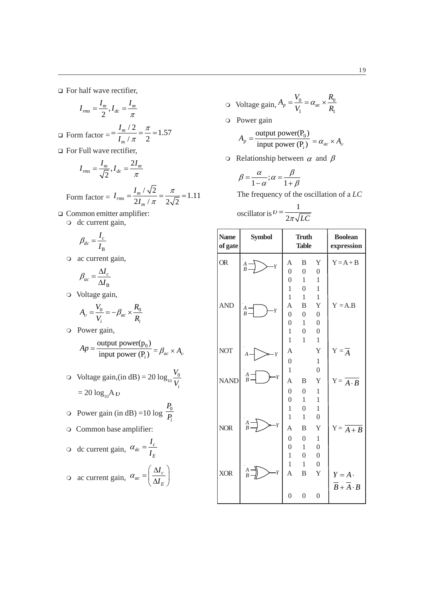□ For half wave rectifier,

$$
I_{rms} = \frac{I_m}{2}, I_{dc} = \frac{I_m}{\pi}
$$

□ Form factor = 
$$
=\frac{I_m/2}{I_m/\pi} = \frac{\pi}{2} = 1.57
$$

□ For Full wave rectifier,

$$
I_{rms} = \frac{I_m}{\sqrt{2}}, I_{dc} = \frac{2I_m}{\pi}
$$

Form factor =  $I_{rms} = \frac{I_m / \sqrt{2}}{2I_f / \sqrt{2}} = \frac{\pi}{2\sqrt{2}} = 1.11$  $2I_m / \pi \approx 2\sqrt{2}$  $\frac{I_{m}}{2} = \frac{I_{m}}{2}$ *m*  $I_{rms} = \frac{I}{I}$ *I*  $=\frac{I_m / \sqrt{2}}{2I_m / \pi} = \frac{\pi}{2\sqrt{2}} =$ 

 Common emitter amplifier: O dc current gain,

$$
\beta_{dc} = \frac{I_c}{I_B}
$$

ac current gain,

$$
\beta_{ac} = \frac{\Delta I_c}{\Delta I_{\rm B}}
$$

Voltage gain,

$$
A_{\nu} = \frac{V_0}{V_i} = -\beta_{ac} \times \frac{R_0}{R_i}
$$

Power gain,

$$
Ap = \frac{\text{output power}(p_0)}{\text{input power}(P_i)} = \beta_{ac} \times A_v
$$

 $\circ$  Voltage gain,(in dB) = 20  $\log_{10} \frac{V_0}{V}$ *i V V*  $= 20 \log_{10} A v$ 

$$
\circ \quad \text{Power gain (in dB)} = 10 \log \frac{P_0}{P_i}
$$

Common base amplifier:

$$
\circ \text{ dc current gain, } \alpha_{dc} = \frac{I_c}{I_E}
$$

$$
\circ \text{ ac current gain, } \alpha_{ac} = \left(\frac{\Delta I_c}{\Delta I_E}\right)
$$

*E*

*I I*

$$
\text{O Voltage gain, } A_p = \frac{V_0}{V_1} = \alpha_{ac} \times \frac{R_0}{R_1}
$$

Power gain

$$
A_p = \frac{\text{output power}(P_0)}{\text{input power}(P_i)} = \alpha_{ac} \times A_v
$$

 $\circ$  Relationship between  $\alpha$  and  $\beta$ 

$$
\beta = \frac{\alpha}{1 - \alpha}; \alpha = \frac{\beta}{1 + \beta}
$$

The frequency of the oscillation of a *LC*

oscillator is 
$$
v = \frac{1}{2\pi\sqrt{LC}}
$$

| <b>Name</b><br>of gate | <b>Symbol</b>                      |                  | <b>Truth</b><br><b>Table</b> |                  | <b>Boolean</b><br>expression          |
|------------------------|------------------------------------|------------------|------------------------------|------------------|---------------------------------------|
| <b>OR</b>              | $\frac{A}{B}$ –<br>Y               | Α                | B                            | Y                | $Y = A + B$                           |
|                        |                                    | $\boldsymbol{0}$ | $\boldsymbol{0}$             | $\boldsymbol{0}$ |                                       |
|                        |                                    | $\overline{0}$   | 1                            | 1                |                                       |
|                        |                                    | $\mathbf{1}$     | $\theta$                     | 1                |                                       |
|                        |                                    | $\overline{1}$   | $\mathbf{1}$                 | $\mathbf{1}$     |                                       |
| <b>AND</b>             | $\frac{A}{B}$ -<br>·Y              | A                | B                            | Y                | $Y = A.B$                             |
|                        |                                    | $\boldsymbol{0}$ | $\boldsymbol{0}$             | $\boldsymbol{0}$ |                                       |
|                        |                                    | $\overline{0}$   | 1                            | $\boldsymbol{0}$ |                                       |
|                        |                                    | 1                | $\overline{0}$               | $\boldsymbol{0}$ |                                       |
|                        |                                    | $\mathbf{1}$     | 1                            | $\mathbf{1}$     |                                       |
| <b>NOT</b>             | $\cdot Y$                          | A                |                              | Y                | $Y = \overline{A}$                    |
|                        |                                    | $\boldsymbol{0}$ |                              | $\mathbf{1}$     |                                       |
|                        |                                    | $\mathbf{1}$     |                              | $\overline{0}$   |                                       |
| <b>NAND</b>            | $\displaystyle\frac{A}{B}$<br>$-Y$ | A                | B                            | Y                | $Y = \overline{A \cdot B}$            |
|                        |                                    | $\overline{0}$   | $\theta$                     | 1                |                                       |
|                        |                                    | $\overline{0}$   | $\mathbf{1}$                 | 1                |                                       |
|                        |                                    | $\mathbf{1}$     | $\overline{0}$               | 1                |                                       |
|                        |                                    | $\mathbf{1}$     | 1                            | $\mathbf{0}$     |                                       |
| <b>NOR</b>             | $\frac{A}{B}$<br>$-Y$              | A                | B                            | Y                | $Y = \overline{A+B}$                  |
|                        |                                    | $\overline{0}$   | $\theta$                     | 1                |                                       |
|                        |                                    | $\overline{0}$   | $\mathbf{1}$                 | $\overline{0}$   |                                       |
|                        |                                    | $\mathbf{1}$     | $\overline{0}$               | $\boldsymbol{0}$ |                                       |
|                        |                                    | $\mathbf{1}$     | $\mathbf{1}$                 | $\boldsymbol{0}$ |                                       |
| <b>XOR</b>             | $\frac{A}{B}$<br>Y                 | A                | B                            | Y                | $Y = A$ .                             |
|                        |                                    |                  |                              |                  | $\overline{B} + \overline{A} \cdot B$ |
|                        |                                    | $\overline{0}$   | $\mathbf{0}$                 | $\mathbf{0}$     |                                       |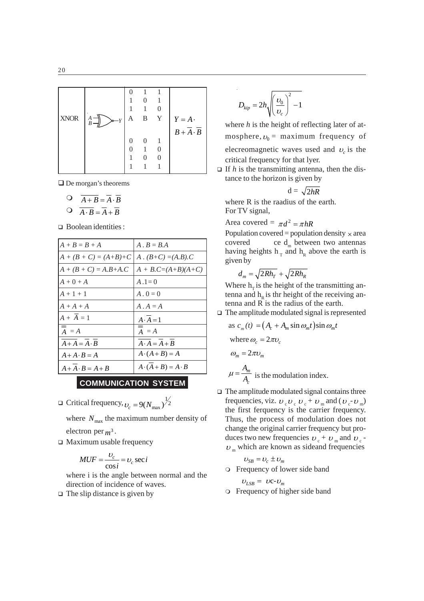| <b>XNOR</b> | А<br>$\rightarrow Y$<br>B | A | B | Y | $Y = A$ .       |
|-------------|---------------------------|---|---|---|-----------------|
|             |                           |   |   |   | $B + A \cdot B$ |
|             |                           |   |   |   |                 |
|             |                           |   |   |   |                 |
|             |                           |   |   |   |                 |
|             |                           |   |   |   |                 |

□ De morgan's theorems

$$
\begin{array}{ccc}\n\bigcirc & \overline{A+B} = \overline{A} \cdot \overline{B} \\
\bigcirc & \overline{A \cdot B} = \overline{A} + \overline{B}\n\end{array}
$$

□ Boolean identities :

| $A+B=B+A$                     | $A \cdot B = BA$              |
|-------------------------------|-------------------------------|
| $A + (B + C) = (A+B)+C$       | $A \cdot (B+C) = (A.B).C$     |
| $A + (B + C) = A.B + A.C$     | $A + B.C=(A+B)(A+C)$          |
| $A+0+A$                       | $A.1=0$                       |
| $A + 1 + 1$                   | $A \cdot 0 = 0$               |
| $A + A + A$                   | $A \cdot A = A$               |
| $A + \overline{A} = 1$        | $A \cdot A = 1$               |
| $\overline{a} = \overline{A}$ | $\overline{A} = A$            |
| $A + A = A \cdot B$           | $A \cdot A = A + B$           |
| $A + A \cdot B = A$           | $A \cdot (A + B) = A$         |
| $A + A \cdot B = A + B$       | $A \cdot (A + B) = A \cdot B$ |

# **COMMUNICATION SYSTEM**

 $\Box$  Critical frequency,  $v_c = 9(N_{\text{max}})^{\frac{1}{2}}$ 

where  $N_{\text{max}}$  the maximum number density of electron per  $m^3$ .

 $\Box$  Maximum usable frequency

$$
MUF = \frac{v_c}{\cos i} = v_c \sec i
$$

where i is the angle between normal and the direction of incidence of waves.

 $\Box$  The slip distance is given by

$$
D_{kip} = 2h \sqrt{\left(\frac{v_0}{v_c}\right)^2 - 1}
$$

where *h* is the height of reflecting later of atmosphere,  $v_0$  = maximum frequency of elecreomagnetic waves used and  $v_c$  is the critical frequency for that lyer.

 $\Box$  If *h* is the transmitting antenna, then the distance to the horizon is given by

$$
d = \sqrt{2hR}
$$

where R is the raadius of the earth. For TV signal,

Area covered =  $\pi d^2 = \pi hR$ 

Population covered = population density  $\times$  area covered ce  $d_m$  between two antennas having heights  $h_{\tau}$  and  $h_{R}$  above the earth is given by

$$
d_m = \sqrt{2Rh_T} + \sqrt{2Rh_R}
$$

Where  $h<sub>r</sub>$  is the height of the transmitting antenna and  $h<sub>p</sub>$  is thr height of the receiving antenna and R is the radius of the earth.

 $\Box$  The amplitude modulated signal is represented

as 
$$
c_m(t) = (A_c + A_m \sin \omega_m t) \sin \omega_m t
$$
  
\nwhere  $\omega_c = 2\pi \nu_c$   
\n $\omega_m = 2\pi \nu_m$   
\n $\mu = \frac{A_m}{A_c}$  is the modulation index.

 $\Box$  The amplitude modulated signal contains three frequencies, viz.  $v_c v_c v_c + v_m$  and  $(v_c v_m)$ the first ferquency is the carrier frequency. Thus, the process of modulation does not change the original carrier frequency but produces two new frequencies  $v_c + v_m$  and  $v_c$   $v_m$  which are known as sideand frequencies

 $v_{SB} = v_c \pm v_m$ 

Frequency of lower side band

 $v_{LSB} = \nu c - v_m$ 

Frequency of higher side band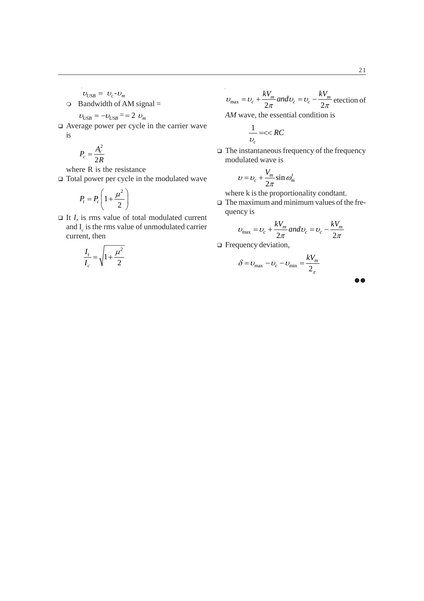- $v_{\text{USB}} = v_{\text{c}} v_{\text{m}}$
- $\circ$  Bandwidth of AM signal =

$$
v_{\text{USB}} = -v_{\text{USB}} = -2 v_{\text{m}}
$$

 Average power per cycle in the carrier wave is

$$
P_c = \frac{A_c^2}{2R}
$$

where R is the resistance

Total power per cycle in the modulated wave

$$
P_t = P_c \left( 1 + \frac{\mu^2}{2} \right)
$$

 $\Box$  It *I*, is rms value of total modulated current and  $I_c$  is the rms value of unmodulated carrier current, then

$$
\frac{I_t}{I_c} = \sqrt{1 + \frac{\mu^2}{2}}
$$

$$
U_{\text{max}} = U_c + \frac{kV_m}{2\pi} and U_c = U_c - \frac{kV_m}{2\pi} \text{ detection of}
$$

*AM* wave, the essential condition is

$$
\frac{1}{\nu_c}=<
$$

 $\hfill\Box$  The instantaneous frequency of the frequency modulated wave is

$$
v = v_c + \frac{V_m}{2\pi} \sin \omega_m^t
$$

where k is the proportionality condtant.

 $\Box$  The maximum and minimum values of the frequency is

$$
U_{\text{max}} = U_c + \frac{kV_m}{2\pi} and U_c = U_c - \frac{kV_m}{2\pi}
$$

□ Frequency deviation,

$$
\delta = \nu_{\text{max}} - \nu_c - \nu_{\text{min}} = \frac{kV_m}{2\pi}
$$

 $\bullet\bullet$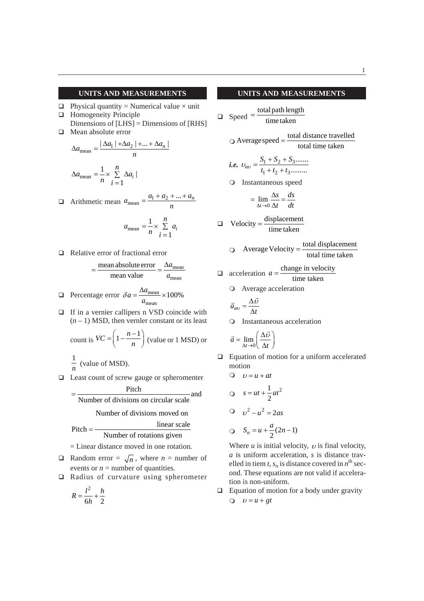#### **UNITS AND MEASUREMENTS**

- $\Box$  Physical quantity = Numerical value  $\times$  unit
- **Homogeneity Principle** Dimensions of [LHS] = Dimensions of [RHS] □ Mean absolute error
- $a_{\text{mean}} = \frac{|\Delta a_1| + \Delta a_2| + ... + \Delta a_n|}{a_{\text{mean}}}$ *n*  $\Delta a_{\text{mean}} = \frac{|\Delta a_1| + \Delta a_2| + ... + \Delta}{\Delta a_{\text{mean}}}$  $_{\text{mean}} = \frac{1}{n} \times \sum_{i=1}^{n} \Delta a_i$  $\frac{\Delta u_i}{1}$ *n*  $a_{\text{mean}} = \frac{1}{2} \times \sum \Delta a$ *n i*  $\Delta a_{\text{mean}} = - \times \sum \Delta$  $=$  $\Box$  Arithmetic mean  $a_{\text{mean}} = \frac{a_1 + a_2 + ... + a_n}{a_n}$  $=\frac{a_1+a_2+...+a_n}{a_1+a_2+a_3+...+a_n}$
- *n*

$$
a_{\text{mean}} = \frac{1}{n} \times \sum_{i=1}^{n} a_i
$$

Relative error of fractional error

$$
= \frac{\text{mean absolute error}}{\text{mean value}} = \frac{\Delta a_{\text{mean}}}{a_{\text{mean}}}
$$

- **Percentage error**  $\delta a = \frac{\Delta a_{\text{mean}}}{a}$ mean  $a = \frac{\Delta a_{\text{mean}}}{\Delta 100\%}$ *a*  $\delta a = \frac{\Delta a_{\text{mean}}}{\Delta a_{\text{mean}}}$
- $\Box$  If in a vernier callipers n VSD coincide with  $(n - 1)$  MSD, then vernler constant or its least  $(n-1)$

count is 
$$
VC = \left(1 - \frac{n-1}{n}\right)
$$
 (value or 1 MSD) or  
\n $\frac{1}{n}$  (value of MSD).

□ Least count of screw gauge or spheromenter

$$
= \frac{Pitch}{Number of divisions on circular scale}
$$
 and Number of divisions moved on

$$
Pitch = \frac{linear scale}{Number of rotations given}
$$

= Linear distance moved in one rotation.

- **Q** Random error =  $\sqrt{n}$ , where *n* = number of events or  $n =$  number of quantities.
- □ Radius of curvature using spherometer

$$
R = \frac{l^2}{6h} + \frac{h}{2}
$$

#### **UNITS AND MEASUREMENTS**

$$
\Box \quad \text{Speed} = \frac{\text{total path length}}{\text{time taken}}
$$

$$
\bigcirc \text{Average speed} = \frac{\text{total distance travelled}}{\text{total time taken}}
$$

i.e. 
$$
v_{av} = \frac{S_1 + S_2 + S_3 \dots}{t_1 + t_2 + t_3 \dots}
$$

Instantaneous speed

$$
= \lim_{\Delta t \to 0} \frac{\Delta s}{\Delta t} = \frac{ds}{dt}
$$

$$
\Box \quad \text{Velocity} = \frac{\text{displacement}}{\text{time taken}}
$$

$$
Q
$$
 Average Velocity =  $\frac{\text{total displacement}}{\text{total time taken}}$ 

$$
\Box
$$
 acceleration  $a = \frac{\text{change in velocity}}{\text{cos}a}$ 

$$
time taken
$$

Average acceleration

$$
\vec{a}_{av} = \frac{\Delta \vec{v}}{\Delta t}
$$

Instantaneous acceleration

$$
\vec{a} = \lim_{\Delta t \to 0} \left( \frac{\Delta \vec{v}}{\Delta t} \right)
$$

 $\Box$  Equation of motion for a uniform accelerated motion

$$
0 \t v = u + at
$$
  
\n
$$
s = ut + \frac{1}{2}at^2
$$
  
\n
$$
0 \t v^2 - u^2 = 2as
$$
  
\n
$$
S_n = u + \frac{a}{2}(2n - 1)
$$

Where  $u$  is initial velocity,  $v$  is final velocity, *a* is uniform acceleration, *s* is distance travelled in tiem *t*,  $s_n$  is distance covered in  $n^{\text{th}}$  second. These equations are not valid if acceleration is non-uniform.

 $\Box$  Equation of motion for a body under gravity  $Q$   $U = u + gt$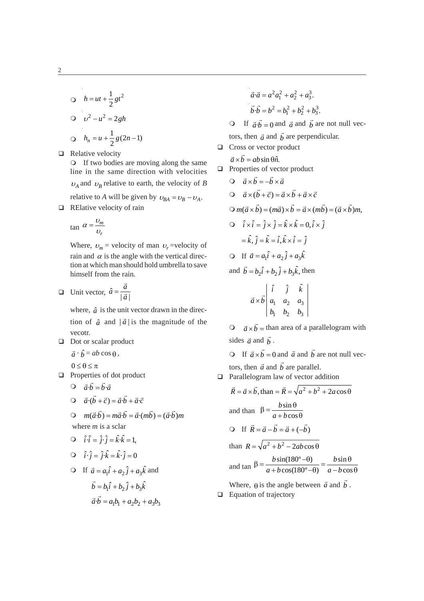$$
\begin{aligned}\n\text{O} \quad h &= ut + \frac{1}{2}gt^2 \\
\text{O} \quad v^2 - u^2 &= 2gh \\
\text{O} \quad h_n &= u + \frac{1}{2}g(2n - 1)\n\end{aligned}
$$

 $\Box$  Relative velocity

If two bodies are moving along the same line in the same direction with velocities  $\nu_A$  and  $\nu_B$  relative to earth, the velocity of *B* relative to *A* will be given by  $v_{BA} = v_B - v_A$ .

 $\Box$  RElative velocity of rain

$$
\tan \alpha = \frac{v_m}{v_r}
$$

Where,  $v_m$  = velocity of man  $v_r$  =velocity of rain and  $\alpha$  is the angle with the vertical direction at which man should hold umbrella to save himself from the rain.

**a** Unit vector,  $\hat{a} = \frac{\vec{a}}{|\vec{a}|}$  $\overline{\phantom{a}}$  $\frac{1}{x}$ 

> where,  $\hat{a}$  is the unit vector drawn in the direction of  $\hat{a}$  and  $|\vec{a}|$  is the magnitude of the vecotr.

Dot or scalar product

$$
\vec{a} \cdot \hat{b} = ab \cos \theta,
$$

$$
0\leq \theta \leq \pi
$$

**Properties of dot product** 

$$
\vec{a} \cdot \vec{b} = \vec{b} \cdot \vec{a}
$$

$$
\begin{aligned}\n\mathbf{Q} \quad \vec{a} \cdot (\vec{b} + \vec{c}) = \vec{a} \cdot \vec{b} + \vec{a} \cdot \vec{c}\n\end{aligned}
$$

 $Q$   $m(\vec{a} \cdot \vec{b}) = m\vec{a} \cdot \vec{b} = \vec{a} \cdot (m\vec{b}) = (\vec{a} \cdot \vec{b})m$ where *m* is a sclar

$$
\mathbf{Q} \quad \hat{i} \cdot \hat{i} = \hat{j} \cdot \hat{j} = \hat{k} \cdot \hat{k} = 1,
$$

$$
\mathsf{Q} \quad \hat{i} \cdot \hat{j} = \hat{j} \cdot \hat{k} = \hat{k} \cdot \hat{j} = 0
$$

O If 
$$
\vec{a} = a_1 \hat{i} + a_2 \hat{j} + a_3 \hat{k}
$$
 and  
\n $\vec{b} = b_1 \hat{i} + b_2 \hat{j} + b_3 \hat{k}$   
\n $\vec{a} \cdot \vec{b} = a_1 b_1 + a_2 b_2 + a_3 b_3$ 

$$
\vec{a} \cdot \vec{a} = a^2 a_1^2 + a_2^2 + a_3^3.
$$
  

$$
\vec{b} \cdot \vec{b} = b^2 = b_1^2 + b_2^2 + b_3^3.
$$

If  $\vec{a} \cdot \vec{b} = 0$  and  $\vec{a}$  and  $\vec{b}$  are not null vec-

tors, then 
$$
\vec{a}
$$
 and  $\vec{b}$  are perpendicular.

□ Cross or vector product

 $\vec{a} \times \vec{b} = ab \sin \theta \hat{n}$ .

- $\Box$  Properties of vector product
	- $\vec{a} \times \vec{b} = -\vec{b} \times \vec{a}$  $Q \vec{a} \times (\vec{b} + \vec{c}) = \vec{a} \times \vec{b} + \vec{a} \times \vec{c}$  $\bigcirc m(\vec{a} \times \vec{b}) = (m\vec{a}) \times \vec{b} = \vec{a} \times (m\vec{b}) = (\vec{a} \times \vec{b})m,$  $\hat{i} \times \hat{i} = \hat{i} \times \hat{i} = \hat{k} \times \hat{k} = 0, \hat{i} \times \hat{i}$  $\hat{i} = \hat{k}, \hat{j} = \hat{k} = \hat{i}, \hat{k} \times \hat{i} = \hat{j}$  $\bigcirc$  If  $\vec{a} = a_1 \hat{i} + a_2 \hat{j} + a_3 \hat{k}$ and  $\vec{b} = b_2 \hat{i} + b_2 \hat{j} + b_3 \hat{k}$ , then  $|\hat{i} \hat{j} \hat{j}|$  $\overrightarrow{r}$

$$
\vec{a} \times \vec{b}
$$
  $\begin{vmatrix} 1 & 1 & 1 \\ a_1 & a_2 & a_3 \\ b_1 & b_2 & b_3 \end{vmatrix}$ 

 $\overrightarrow{a} \times \overrightarrow{b}$  = than area of a parallelogram with sides  $\vec{a}$  and  $\vec{b}$ .

O If  $\vec{a} \times \vec{b} = 0$  and  $\vec{a}$  and  $\vec{b}$ are not null vectors, then  $\vec{a}$  and  $\vec{b}$ are parallel.

 $\Box$  Parallelogram law of vector addition

$$
\vec{R} = \vec{a} \times \vec{b}, \text{ than } = \vec{R} = \sqrt{a^2 + b^2 + 2a\cos\theta}
$$
  
and than  $\beta = \frac{b\sin\theta}{a + b\cos\theta}$   

$$
\text{Of } \vec{R} = \vec{a} - \vec{b} = \vec{a} + (-\vec{b})
$$
  
than  $R = \sqrt{a^2 + b^2 - 2ab\cos\theta}$   
and  $\tan \beta = \frac{b\sin(180^\circ - \theta)}{a + b\cos(180^\circ - \theta)} = \frac{b\sin\theta}{a - b\cos\theta}$ 

Where,  $\theta$  is the angle between  $\vec{a}$  and  $\vec{b}$ .  $\Box$  Equation of trajectory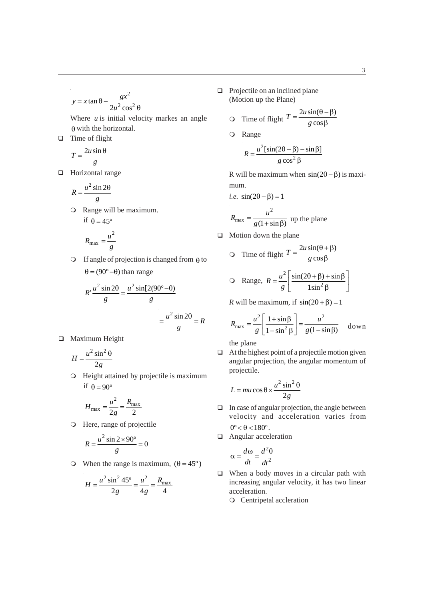$$
y = x \tan \theta - \frac{gx^2}{2u^2 \cos^2 \theta}
$$

Where  *is initial velocity markes an angle*  $\theta$  with the horizontal.

# $\Box$  Time of flight

 $\bar{z}$ 

$$
T = \frac{2u\sin\theta}{g}
$$

□ Horizontal range

$$
R = \frac{u^2 \sin 2\theta}{g}
$$

Range will be maximum. if  $\theta = 45^\circ$ 

$$
R_{\text{max}} = \frac{u^2}{g}
$$

 $\circ$  If angle of projection is changed from  $\theta$  to  $\theta = (90^{\circ} - \theta)$  than range

$$
R'\frac{u^2\sin 2\theta}{g} = \frac{u^2\sin[2(90^\circ - \theta)]}{g}
$$

$$
= \frac{u^2\sin 2\theta}{g} = R
$$

**D** Maximum Height

$$
H = \frac{u^2 \sin^2 \theta}{2g}
$$

Height attained by projectile is maximum if  $\theta = 90^\circ$ 

$$
H_{\text{max}} = \frac{u^2}{2g} = \frac{R_{\text{max}}}{2}
$$

Here, range of projectile

$$
R = \frac{u^2 \sin 2 \times 90^\circ}{g} = 0
$$

O When the range is maximum,  $(\theta = 45^{\circ})$ 

$$
H = \frac{u^2 \sin^2 45^\circ}{2g} = \frac{u^2}{4g} = \frac{R_{\text{max}}}{4}
$$

 $\Box$  Projectile on an inclined plane (Motion up the Plane)

$$
ext{Q} \quad \text{Time of flight } T = \frac{2u\sin(\theta - \beta)}{g\cos\beta}
$$

Range

$$
R = \frac{u^2[\sin(2\theta - \beta) - \sin\beta]}{g\cos^2\beta}
$$

R will be maximum when  $sin(2\theta - \beta)$  is maximum.

*i.e.* 
$$
\sin(2\theta - \beta) = 1
$$
  

$$
R_{\text{max}} = \frac{u^2}{g(1 + \sin \beta)}
$$
 up the plane

 $\Box$  Motion down the plane

$$
\text{Q} \quad \text{Time of flight } T = \frac{2u\sin(\theta + \beta)}{g\cos\beta}
$$

$$
\text{Q Range, } R = \frac{u^2}{g} \left[ \frac{\sin(2\theta + \beta) + \sin\beta}{1\sin^2\beta} \right]
$$

*R* will be maximum, if  $sin(2\theta + \beta) = 1$ 

$$
R_{\text{max}} = \frac{u^2}{g} \left[ \frac{1 + \sin \beta}{1 - \sin^2 \beta} \right] = \frac{u^2}{g(1 - \sin \beta)} \quad \text{down}
$$

the plane

 $\Box$  At the highest point of a projectile motion given angular projection, the angular momentum of projectile.

$$
L = mu\cos\theta \times \frac{u^2\sin^2\theta}{2g}
$$

- $\Box$  In case of angular projection, the angle between velocity and acceleration varies from  $0^{\circ} < \theta < 180^{\circ}$ .
- **Angular acceleration**

$$
\alpha = \frac{d\omega}{dt} = \frac{d^2\theta}{dt^2}
$$

- $\Box$  When a body moves in a circular path with increasing angular velocity, it has two linear acceleration.
	- Centripetal accleration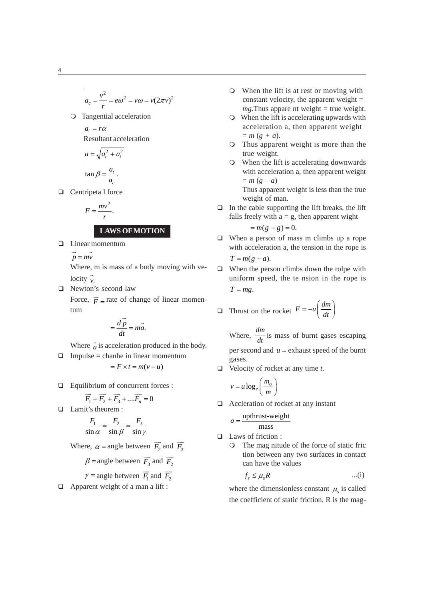$$
a_c = \frac{v^2}{r} = e\omega^2 = v\omega = v(2\pi v)^2
$$

Tangential acceleration

$$
a_t = r\alpha
$$

Resultant acceleration

$$
a = \sqrt{a_c^2 + a_t^2}
$$

$$
\tan \beta = \frac{a_t}{a_c}.
$$

 $\Box$  Centripeta l force

$$
F=\frac{mv^2}{r}.
$$

# **LAWS OF MOTION**

□ Linear momentum

 $p = m\overline{v}$ 

Where, m is mass of a body moving with velocity  $\overline{v}$ .

□ Newton's second law

Force,  $\vec{F}$  = rate of change of linear momentum

$$
= \frac{d\vec{p}}{dt} = m\vec{a}.
$$

Where  $\vec{a}$  is acceleration produced in the body.

- $\Box$  Impulse = chanhe in linear momentum  $F = F \times t = m(v - u)$
- □ Equilibrium of concurrent forces :

$$
\overrightarrow{F_1} + \overrightarrow{F_2} + \overrightarrow{F_3} + \dots \overrightarrow{F_n} = 0
$$

□ Lamit's theorem :

$$
\frac{F_1}{\sin \alpha} = \frac{F_2}{\sin \beta} = \frac{F_3}{\sin \gamma}
$$

Where,  $\alpha$  = angle between  $\overrightarrow{F_2}$  and  $\overrightarrow{F_3}$  $\beta$  = angle between  $\overrightarrow{F_3}$  $\overline{\phantom{a}}$ and  $\overline{F_2}$  $\overline{\phantom{a}}$  $\gamma$  = angle between  $\overrightarrow{F_1}$ and  $F_2$  $\overline{\phantom{a}}$ 

 $\Box$  Apparent weight of a man a lift :

- When the lift is at rest or moving with constant velocity, the apparent weight  $=$ *mg*. Thus appare nt weight  $=$  true weight.
- When the lift is accelerating upwards with acceleration a, then apparent weight  $= m (g + a).$
- Thus apparent weight is more than the true weight.
- When the lift is accelerating downwards with acceleration a, then apparent weight  $= m (g - a)$

Thus apparent weight is less than the true weight of man.

 $\Box$  In the cable supporting the lift breaks, the lift falls freely with  $a = g$ , then apparent wight

$$
=m(g-g)=0.
$$

- When a person of mass m climbs up a rope with acceleration a, the tension in the rope is  $T = m(g + a)$ .
- $\Box$  When the person climbs down the rolpe with uniform speed, the te nsion in the rope is  $T = mg$ .

□ Thrust on the rocket 
$$
F = -u \left( \frac{dm}{dt} \right)
$$

Where, *dm*  $\frac{d}{dt}$  is mass of burnt gases escaping per second and  $u =$  exhaust speed of the burnt gases.

Velocity of rocket at any time *t*.

$$
v = u \log_e \left( \frac{m_o}{m} \right)
$$

 $\Box$  Accleration of rocket at any instant

$$
a = \frac{\text{upthrust-weight}}{\text{mass}}
$$

- Laws of friction :
	- The mag nitude of the force of static fric tion between any two surfaces in contact can have the values

$$
f_s \leq \mu_s R \qquad \qquad \dots (i)
$$

where the dimensionless constant  $\mu$ <sub>s</sub> is called the coefficient of static friction, R is the mag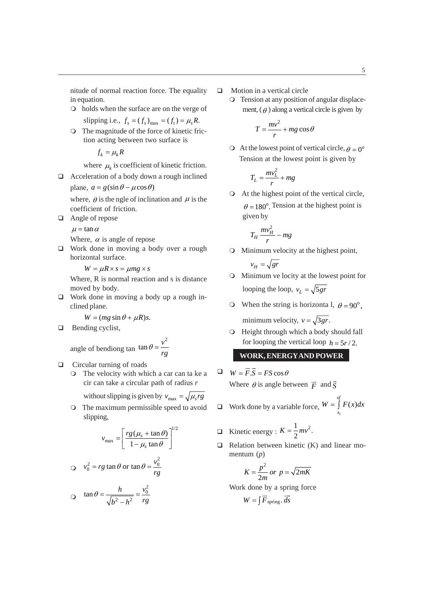nitude of normal reaction force. The equality in equation.

holds when the surface are on the verge of

slipping i.e.,  $f_s = (f_s)_{\text{max}} = (f_t) = \mu_s R$ .

The magnitude of the force of kinetic friction acting between two surface is

 $f_k = \mu_k R$ 

where  $\mu_k$  is coefficient of kinetic friction.

 $\Box$  Acceleration of a body down a rough inclined plane,  $a = g(\sin \theta - \mu \cos \theta)$ 

where,  $\theta$  is the ngle of inclination and  $\mu$  is the coefficient of friction.

□ Angle of repose

 $\mu = \tan \alpha$ 

Where,  $\alpha$  is angle of repose

 Work done in moving a body over a rough horizontal surface.

 $W = \mu R \times s = \mu mg \times s$ 

Where, R is normal reaction and s is distance moved by body.

□ Work done in moving a body up a rough inclined plane.

 $W = (mg \sin \theta + \mu R)s$ .

**Bending cyclist,** 

angle of bending tan 
$$
\tan \theta = \frac{v^2}{rg}
$$

 $\Box$  Circular turning of roads

The velocity with which a car can ta ke a cir can take a circular path of radius *r*

without slipping is given by  $v_{\text{max}} = \sqrt{\mu_s rg}$ 

The maximum permissible speed to avoid slipping,

$$
v_{\text{max}} = \left[\frac{rg(\mu_s + \tan \theta)}{1 - \mu_s \tan \theta}\right]^{1/2}
$$
  

$$
v_0^2 = rg \tan \theta \text{ or } \tan \theta = \frac{v_0^2}{rg}
$$
  

$$
v_0 = \tan \theta = \frac{h}{\sqrt{b^2 - h^2}} = \frac{v_0^2}{rg}
$$

- $\Box$  Motion in a vertical circle
	- Tension at any position of angular displacement,  $(\theta)$  along a vertical circle is given by

$$
T = \frac{mv^2}{r} + mg\cos\theta
$$

 $\bigcirc$  At the lowest point of vertical circle,  $\rho = 0^\circ$ Tension at the lowest point is given by

$$
T_L = \frac{mv_L^2}{r} + mg
$$

At the highest point of the vertical circle,  $\theta = 180^\circ$ . Tension at the highest point is given by

$$
T_H \frac{mv_H^2}{r} - mg
$$

Minimum velocity at the highest point,

$$
v_H = \sqrt{gr}
$$

- Minimum ve locity at the lowest point for looping the loop,  $v_l = \sqrt{5 gr}$
- O When the string is horizonta l,  $\theta = 90^\circ$ , minimum velocity,  $v = \sqrt{3gr}$ .
- Height through which a body should fall for looping the vertical loop  $h = 5r/2$ .

### **WORK, ENERGY AND POWER**

- $W = \vec{F} \cdot \vec{S} = FS \cos \theta$ Where  $\theta$  is angle between  $\vec{F}$  and  $\vec{S}$
- $\Box$  Work done by a variable force,  $W = \int_{x_1}^{\alpha} F(x)$ *xf*  $W = \int_{x_1} F(x) dx$
- $\Box$  Kinetic energy :  $K = \frac{1}{2}mv^2$ .
- $\Box$  Relation between kinetic (K) and linear momentum (*p*)

$$
K = \frac{p^2}{2m} \text{ or } p = \sqrt{2mK}
$$

Work done by a spring force

$$
W = \int \vec{F}_{\text{spring}} \cdot \vec{ds}
$$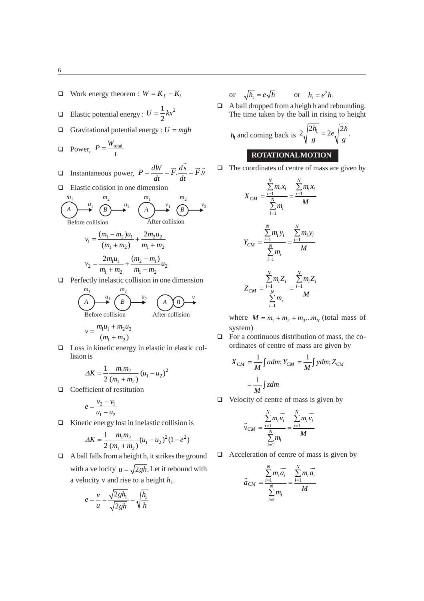6

- $\Box$  Work energy theorem :  $W = K_f K_i$
- **E** Elastic potential energy :  $U = \frac{1}{2}kx^2$ 2  $U = -kx$
- Gravitational potential energy :  $U = mgh$

$$
\Box \quad \text{Power,} \ \ P = \frac{W_{\text{total}}}{t}
$$

- $\Box$  Instantaneous power,  $P = \frac{dW}{dt} = \vec{F} \cdot \frac{ds}{dt} = \vec{F} \cdot \vec{v}$  $\vec{ds}$   $\rightarrow$
- $\Box$  Elastic colision in one dimension

$$
\begin{array}{ccc}\nm_1 & m_2 & m_2 \\
\hline\n\end{array}\n\qquad\n\begin{array}{ccc}\n\text{m}_1 & m_2 & \text{m}_2 \\
\hline\n\end{array}\n\qquad\n\begin{array}{ccc}\n\text{m}_1 & \text{m}_2 & \text{m}_2 \\
\hline\n\end{array}\n\qquad\n\begin{array}{ccc}\n\text{m}_1 & \text{m}_2 & \text{m}_2 \\
\hline\n\end{array}\n\qquad\n\begin{array}{ccc}\n\text{After collision} \\
\hline\n\end{array}\n\end{array}
$$
\n
$$
v_1 = \frac{(m_1 - m_2)u_1}{(m_1 + m_2)} + \frac{2m_2u_2}{m_1 + m_2}
$$
\n
$$
v_2 = \frac{2m_1u_1}{m_1 + m_2} + \frac{(m_2 - m_1)}{m_1 + m_2}u_2
$$

 $\Box$  Perfectly inelastic collision in one dimension

$$
(A)m1
$$
  
\nBefore collision  
\n
$$
v = \frac{m_1 u_1 + m_2 u_2}{(m_1 + m_2)}
$$
  
\nAfter collision

 $\Box$  Loss in kinetic energy in elastic in elastic collision is

$$
\Delta K = \frac{1}{2} \frac{m_1 m_2}{(m_1 + m_2)} (u_1 - u_2)^2
$$

**Q** Coefficient of restitution

$$
e = \frac{v_2 - v_1}{u_1 - u_2}
$$

 $\Box$  Kinetic energy lost in inelastic collision is

$$
\Delta K = \frac{1}{2} \frac{m_1 m_2}{(m_1 + m_2)} (u_1 - u_2)^2 (1 - e^2)
$$

 $\Box$  A ball falls from a height h, it strikes the ground with a ve locity  $u = \sqrt{2gh}$ . Let it rebound with a velocity v and rise to a height  $h_1$ .

$$
e = \frac{v}{u} = \frac{\sqrt{2gh_1}}{\sqrt{2gh}} = \sqrt{\frac{h_1}{h}}
$$

or 
$$
\sqrt{h_1} = e\sqrt{h}
$$
 or  $h_1 = e^2h$ .

 A ball dropped from a heigh h and rebounding. The time taken by the ball in rising to height

$$
h_1
$$
 and coming back is  $2\sqrt{\frac{2h_1}{g}} = 2e\sqrt{\frac{2h}{g}}$ .  
ROTATIONAL MOTION

 $\Box$  The coordinates of centre of mass are given by

$$
X_{CM} = \frac{\sum_{i=1}^{N} m_i x_i}{\sum_{i=1}^{N} m_i} = \frac{\sum_{i=1}^{N} m_i x_i}{M}
$$

$$
Y_{CM} = \frac{\sum_{i=1}^{N} m_i y_i}{\sum_{i=1}^{N} m_i} = \frac{\sum_{i=1}^{N} m_i y_i}{M}
$$

$$
Z_{CM} = \frac{\sum_{i=1}^{N} m_i Z_i}{\sum_{i=1}^{N} m_i} = \frac{\sum_{i=1}^{N} m_i Z_i}{M}
$$

where  $M = m_1 + m_2 + m_3... m_N$  (total mass of system)

 $\Box$  For a continuous distribution of mass, the coordinates of centre of mass are given by

$$
X_{CM} = \frac{1}{M} \int a dm; Y_{CM} = \frac{1}{M} \int y dm; Z_{CM}
$$

$$
= \frac{1}{M} \int z dm
$$

 $\Box$  Velocity of centre of mass is given by

$$
\vec{v}_{CM} = \frac{\sum_{i=1}^{N} m_i \vec{v}_i}{\sum_{i=1}^{N} m_i} = \frac{\sum_{i=1}^{N} m_i \vec{v}_i}{M}
$$

 $\Box$  Acceleration of centre of mass is given by

$$
\vec{a}_{CM} = \frac{\sum\limits_{i=1}^{N} m_i \vec{a}_i}{\sum\limits_{i=1}^{N} m_i} = \frac{\sum\limits_{i=1}^{N} m_i \vec{a}_i}{M}
$$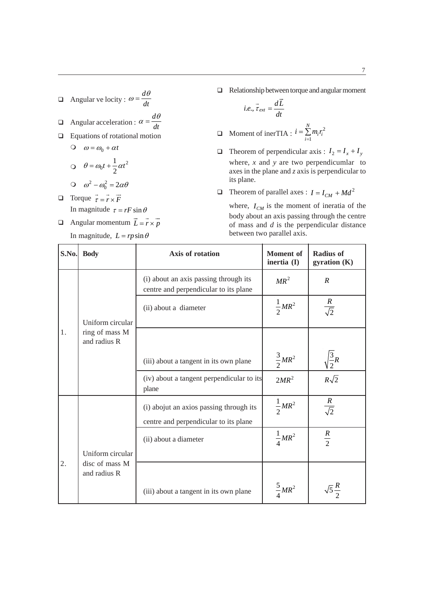- $\Box$  Angular ve locity : *d dt*  $\omega = \frac{d\theta}{dt}$
- **Angular acceleration :** *d dt*  $\alpha = \frac{d\theta}{dt}$
- **Equations of rotational motion**

$$
\begin{aligned}\n\text{O} \quad \omega &= \omega_0 + \alpha t \\
\text{O} \quad \theta &= \omega_0 t + \frac{1}{2} \alpha t^2\n\end{aligned}
$$

- $\omega^2 \omega_0^2 = 2\alpha\theta$ **D** Torque  $\vec{\tau} = \vec{r} \times \vec{F}$ In magnitude  $\tau = rF \sin \theta$
- **a** Angular momentum  $\vec{L} = \vec{r} \times \vec{p}$ In magnitude,  $L = rp \sin \theta$

 $\Box$  Relationship between torque and angular moment

$$
i.e., \vec{\tau}_{ext} = \frac{d\vec{L}}{dt}
$$

- **O** Moment of inerTIA :  $i = \sum_{i=1}^{N} m_i r_i^2$ 1 *N*  $\sum_{i=1}^{n_i} r_i$  $i = \sum m_i r_i$  $=\sum_{i=1}$
- $\Box$  Theorem of perpendicular axis :  $I_2 = I_x + I_y$ where, *x* and *y* are two perpendicumlar to axes in the plane and *z* axis is perpendicular to its plane.
- $\Box$  Theorem of parallel axes :  $I = I_{CM} + Md^2$

where,  $I_{CM}$  is the moment of ineratia of the body about an axis passing through the centre of mass and *d* is the perpendicular distance between two parallel axis.

| S.No. | <b>Body</b>                    | Axis of rotation                                                               | <b>Moment</b> of<br>inertia (I) | <b>Radius of</b><br>gyration (K) |
|-------|--------------------------------|--------------------------------------------------------------------------------|---------------------------------|----------------------------------|
|       |                                | (i) about an axis passing through its<br>centre and perpendicular to its plane | $MR^2$                          | $\boldsymbol{R}$                 |
|       | Uniform circular               | (ii) about a diameter                                                          | $\frac{1}{2}MR^2$               | $rac{R}{\sqrt{2}}$               |
| 1.    | ring of mass M<br>and radius R |                                                                                |                                 |                                  |
|       |                                | (iii) about a tangent in its own plane                                         | $\frac{3}{2}MR^2$               | $\sqrt{\frac{3}{2}}R$            |
|       |                                | (iv) about a tangent perpendicular to its<br>plane                             | $2MR^2$                         | $R\sqrt{2}$                      |
|       |                                | (i) abojut an axios passing through its                                        | $\frac{1}{2}MR^2$               | $rac{R}{\sqrt{2}}$               |
|       |                                | centre and perpendicular to its plane                                          |                                 |                                  |
|       |                                | (ii) about a diameter                                                          | $\frac{1}{4}MR^2$               | $rac{R}{2}$                      |
|       | Uniform circular               |                                                                                |                                 |                                  |
| 2.    | disc of mass M<br>and radius R |                                                                                |                                 |                                  |
|       |                                | (iii) about a tangent in its own plane                                         | $\frac{5}{4}MR^2$               |                                  |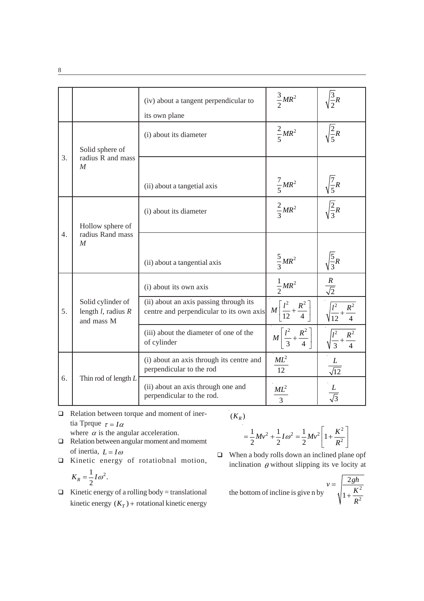|                  |                                                            | (iv) about a tangent perpendicular to<br>its own plane                             | $\frac{3}{2}MR^2$                              | $\frac{3}{2}R$             |
|------------------|------------------------------------------------------------|------------------------------------------------------------------------------------|------------------------------------------------|----------------------------|
|                  | Solid sphere of                                            | (i) about its diameter                                                             | $\frac{2}{5}MR^2$                              | $\frac{2}{5}R$             |
| 3.               | radius R and mass<br>$\cal M$                              | (ii) about a tangetial axis                                                        | $\frac{7}{5}MR^2$                              | $\frac{1}{5}R$             |
|                  | Hollow sphere of                                           | (i) about its diameter                                                             | $\frac{2}{3}MR^2$                              | $\sqrt{\frac{2}{3}}R$      |
| $\overline{4}$ . | radius Rand mass<br>M                                      | (ii) about a tangential axis                                                       | $\frac{5}{2}MR^2$                              | $\sqrt{\frac{5}{3}}R$      |
|                  |                                                            | (i) about its own axis                                                             | $\frac{1}{2}MR^2$                              | $rac{R}{\sqrt{2}}$         |
| 5.               | Solid cylinder of<br>length $l$ , radius $R$<br>and mass M | (ii) about an axis passing through its<br>centre and perpendicular to its own axis | $M\left[\frac{l^2}{12} + \frac{R^2}{4}\right]$ |                            |
|                  |                                                            | (iii) about the diameter of one of the<br>of cylinder                              | $M\left[\frac{l^2}{3}+\frac{R^2}{4}\right]$    | $R^2$                      |
|                  |                                                            | (i) about an axis through its centre and<br>perpendicular to the rod               | $ML^2$<br>12                                   | L<br>$\frac{E}{\sqrt{12}}$ |
| 6.               | Thin rod of length $L$                                     | (ii) about an axis through one and<br>perpendicular to the rod.                    | $ML^2$<br>$\overline{3}$                       | $rac{L}{\sqrt{3}}$         |

**Q** Relation between torque and moment of inertia Tprque  $\tau = I\alpha$ where  $\alpha$  is the angular acceleration.

 $(K_R)$ 

- 2  $1 I_{\infty^2} 1 M_{\infty^2}$   $\left[1 K^2\right]$  $\frac{1}{2}Mv^2 + \frac{1}{2}I\omega^2 = \frac{1}{2}Mv^2\left(1 + \frac{K^2}{R^2}\right)$  $2^{\sim}$  2<sup>2</sup> 2  $Mv^{2} + \frac{1}{2}I\omega^{2} = \frac{1}{2}Mv^{2}\left(1 + \frac{K}{2}\right)$  $=\frac{1}{2}Mv^2 + \frac{1}{2}I\omega^2 = \frac{1}{2}Mv^2\left[1 + \frac{K^2}{R^2}\right]$
- Relation between angular moment and moment of inertia,  $L = I\omega$
- Kinetic energy of rotatiobnal motion,  $1\frac{1}{10^2}$

$$
K_R = \frac{1}{2}I\omega^2.
$$

- $\Box$  Kinetic energy of a rolling body = translational kinetic energy  $(K_T)$  + rotational kinetic energy
- When a body rolls down an inclined plane opf inclination  $\theta$  without slipping its ve locity at

the bottom of incline is give n by 
$$
v = \sqrt{\frac{2gh}{1 + \frac{K^2}{R^2}}}
$$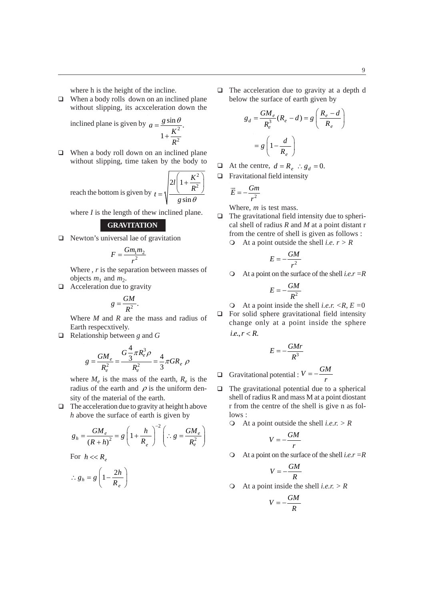where h is the height of the incline.

 $\Box$  When a body rolls down on an inclined plane without slipping, its acxceleration down the

inclined plane is given by  $a = \frac{g \sin \theta}{r^2}$ 2  $\frac{\sin \theta}{2}$ . 1  $a = \frac{g}{g}$ *K R*  $=\frac{g\sin\theta}{2}$  $^{+}$ 

□ When a body roll down on an inclined plane without slipping, time taken by the body to

reach the bottom is given by 2  $2l \left(1 + \frac{R}{R^2}\right)$ sin  $l\left(1+\frac{K}{l}\right)$  $t = \sqrt{\frac{R}{R}}$  $g \sin \theta$  $\left(1+\frac{K^2}{R^2}\right)$  $=\sqrt{\frac{R^2}{r^2}}$ 

where *I* is the length of thew inclined plane.

### **GRAVITATION**

 $\Box$  Newton's universal lae of gravitation

$$
F = \frac{Gm_1m_2}{r^2}
$$

Where, *r* is the separation between masses of objects  $m_1$  and  $m_2$ .

 $\Box$  Acceleration due to gravity

$$
g=\frac{GM}{R^2}.
$$

Where *M* and *R* are the mass and radius of Earth respecxtively.

Relationship between *g* and *G*

$$
g = \frac{GM_e}{R_e^2} = \frac{G\frac{4}{3}\pi R_e^3 \rho}{R_e^2} = \frac{4}{3}\pi GR_e \rho
$$

where  $M_e$  is the mass of the earth,  $R_e$  is the radius of the earth and  $\rho$  is the uniform density of the material of the earth.

 $\Box$  The acceleration due to gravity at height h above *h* above the surface of earth is given by

$$
g_h = \frac{GM_e}{(R+h)^2} = g \left(1 + \frac{h}{R_e}\right)^{-2} \left(\therefore g = \frac{GM_e}{R_e^2}\right)
$$
  
For  $h \ll R_e$ 

$$
\therefore g_h = g \left( 1 - \frac{2h}{R_e} \right)
$$

 $\Box$  The acceleration due to gravity at a depth d below the surface of earth given by

$$
g_d = \frac{GM_e}{R_e^3}(R_e - d) = g\left(\frac{R_e - d}{R_e}\right)
$$

$$
= g\left(1 - \frac{d}{R_e}\right)
$$

- At the centre,  $d = R_e$  :  $g_d = 0$ .
- $\Box$  Fravitational field intensity

$$
\vec{E}=-\frac{Gm}{r^2}
$$

Where, *m* is test mass.

- $\Box$  The gravitational field intensity due to spherical shell of radius *R* and *M* at a point distant r from the centre of shell is given as follows :
	- At a point outside the shell *i.e. r > R*

$$
E=-\frac{GM}{r^2}
$$

At a point on the surface of the shell *i.e.r =R*

$$
E=-\frac{GM}{R^2}
$$

 $\bigcirc$  At a point inside the shell *i.e.r.*  $\langle R, E = 0 \rangle$  $\Box$  For solid sphere gravitational field intensity change only at a point inside the sphere *i.e., r* < *R*.

$$
E = -\frac{GMr}{R^3}
$$
  
Q  
Gravitational potential :  $V = -\frac{GM}{r}$ 

- $\Box$  The gravitational potential due to a spherical shell of radius R and mass M at a point diostant r from the centre of the shell is give n as fol $lows$ .
	- At a point outside the shell *i.e.r. > R*

$$
V = -\frac{GM}{r}
$$

At a point on the surface of the shell *i.e.r =R*

$$
V = -\frac{GM}{R}
$$

At a point inside the shell *i.e.r. > R*

$$
V = -\frac{GM}{R}
$$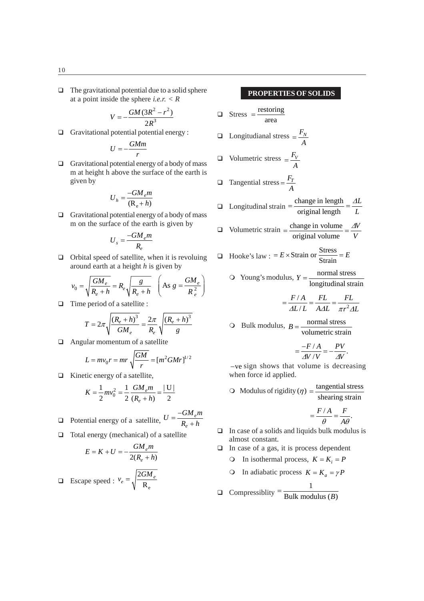$\Box$  The gravitational potential due to a solid sphere at a point inside the sphere *i.e.r. < R*

$$
V=-\frac{GM(3R^2-r^2)}{2R^3}
$$

Gravitational potential potential energy :

$$
U=-\frac{GMm}{r}
$$

 $\Box$  Gravitational potential energy of a body of mass m at height h above the surface of the earth is given by

$$
U_h = \frac{-GM_e m}{(R_e + h)}
$$

 $\Box$  Gravitational potential energy of a body of mass m on the surface of the earth is given by

$$
U_s = \frac{-GM_e m}{R_e}
$$

 $\Box$  Orbital speed of satellite, when it is revoluing around earth at a height *h* is given by

$$
v_0 = \sqrt{\frac{GM_e}{R_e + h}} = R_e \sqrt{\frac{g}{R_e + h}} \quad \left( \text{As } g = \frac{GM_e}{R_e^2} \right)
$$

 $\Box$  Time period of a satellite :

$$
T = 2\pi \sqrt{\frac{(R_e + h)^3}{GM_e}} = \frac{2\pi}{R_e} \sqrt{\frac{(R_e + h)^3}{g}}
$$

Angular momentum of a satellite

$$
L = mv_0 r = mr \sqrt{\frac{GM}{r}} = [m^2 GMr]^{1/2}
$$

 $\Box$  Kinetic energy of a satellite,

$$
K = \frac{1}{2}mv_0^2 = \frac{1}{2}\frac{GM_e m}{(R_e + h)} = \frac{|U|}{2}
$$

Potential energy of a satellite,  $U = \frac{-Gm_e}{R_e + R_e}$  $U = \frac{-GM_e m}{r}$  $=\frac{-GM_e n}{R_e + h}$ 

 $\Box$  Total energy (mechanical) of a satellite

$$
E = K + U = -\frac{GM_e m}{2(R_e + h)}
$$

**Excape speed :**  $v_e = \sqrt{\frac{R_e}{R_e}}$ 2 R  $e_e = \sqrt{\frac{2GM_e}{R}}$  $v_e = \frac{2GM}{\sigma}$ 

**PROPERTIES OF SOLIDS**

\n□ Stress = 
$$
\frac{\text{restoring}}{\text{area}}
$$

\n□ Longitudianal stress =  $\frac{F_V}{A}$ 

\n□ Volumetric stress =  $\frac{F_T}{A}$ 

\n□ Tangential stress =  $\frac{F_T}{A}$ 

\n□ Longitudinal strain =  $\frac{\text{change in length}}{\text{original length}} = \frac{\Delta L}{L}$ 

\n□ Volumetric strain =  $\frac{\text{change in volume}}{\text{original volume}} = \frac{\Delta V}{V}$ 

\n□ Hooke's law : =  $E \times \text{Strain}$  or  $\frac{\text{Stress}}{\text{Strain}} = E$ 

 $\bigcirc$  Young's modulus,  $Y = \frac{\text{normal stress}}{\ }$ longitudinal strain *Y*

$$
= \frac{F/A}{\Delta L/L} = \frac{FL}{\Delta AL} = \frac{FL}{\pi r^2 \Delta L}
$$

O Bulk modulus, 
$$
B = \frac{\text{normal stress}}{\text{volume} \cdot \text{train}}
$$

$$
=\frac{-F/A}{\Delta V/V}=-\frac{PV}{\Delta V}.
$$

 $-$ ve sign shows that volume is decreasing when force id applied.

O Modulus of rigidity (
$$
\eta
$$
) =  $\frac{\text{tangential stress}}{\text{shearing strain}}$ 

$$
=\frac{F/A}{\theta}=\frac{F}{A\theta}.
$$

- $\Box$  In case of a solids and liquids bulk modulus is almost constant.
- $\Box$  In case of a gas, it is process dependent
	- O In isothermal process,  $K = K_i = P$
	- **O** In adiabatic process  $K = K_a = \gamma P$

$$
\overline{\phantom{0}}
$$

**Q** Compressiblity  $=\frac{1}{\text{Bulk modulus } (B)}$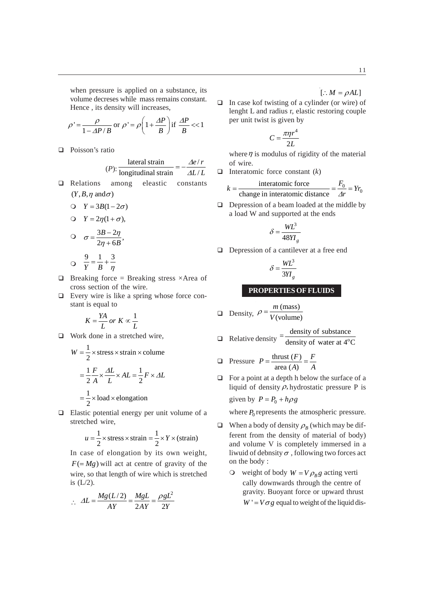when pressure is applied on a substance, its volume decreses while mass remains constant. Hence , its density will increases,

$$
\rho' = \frac{\rho}{1 - AP/B} \text{ or } \rho' = \rho \left( 1 + \frac{\Delta P}{B} \right) \text{ if } \frac{\Delta P}{B} << 1
$$

□ Poisson's ratio

$$
(P): \frac{\text{lateral strain}}{\text{longitudinal strain}} = -\frac{\Delta e/r}{\Delta L/L}
$$

- Relations among eleastic constants  $(Y, B, \eta \text{ and } \sigma)$ 
	- $Y = 3B(1 2\sigma)$  $\bigcirc Y = 2\eta(1 + \sigma),$  $\sigma = \frac{3B - 2\eta}{2\eta + 6B}$ *B*  $\sigma = \frac{3B - 2\eta}{\eta}$  $=\frac{3B-}{2\eta +}$  $\bullet$ 913  $Y$  *B*  $\eta$  $= \frac{1}{x} +$
- $\Box$  Breaking force = Breaking stress ×Area of cross section of the wire.
- $\Box$  Every wire is like a spring whose force constant is equal to

$$
K = \frac{YA}{L} \text{ or } K \propto \frac{1}{L}
$$

□ Work done in a stretched wire,

$$
W = \frac{1}{2} \times \text{stress} \times \text{strain} \times \text{column}
$$

$$
= \frac{1}{2} \frac{F}{A} \times \frac{\Delta L}{L} \times AL = \frac{1}{2} F \times \Delta L
$$

$$
= \frac{1}{2} \times \text{load} \times \text{elongation}
$$

 $\Box$  Elastic potential energy per unit volume of a stretched wire,

$$
u = \frac{1}{2} \times \text{stress} \times \text{strain} = \frac{1}{2} \times Y \times (\text{strain})
$$

In case of elongation by its own weight,  $F( = Mg)$  will act at centre of gravity of the wire, so that length of wire which is stretched is (L/2).

$$
\therefore \ \ \Delta L = \frac{Mg(L/2)}{AY} = \frac{MgL}{2AY} = \frac{\rho gL^2}{2Y}
$$

 $\left[ \therefore M = \rho A L \right]$ 

 $\Box$  In case kof twisting of a cylinder (or wire) of lenght L and radius r, elastic restoring couple per unit twist is given by

$$
C = \frac{\pi \eta r^4}{2L}
$$

where  $\eta$  is modulus of rigidity of the material of wire.

Interatomic force constant  $(k)$ 

$$
k = \frac{\text{interactionic force}}{\text{change in interatomic distance}} = \frac{F_0}{\Delta r} = Yr_0
$$

 $\Box$  Depression of a beam loaded at the middle by a load W and supported at the ends

$$
\delta = \frac{WL^3}{48YI_g}
$$

Depression of a cantilever at a free end

$$
\delta = \frac{WL^3}{3YI_g}
$$

#### **PROPERTIES OF FLUIDS**

$$
\Box \quad \text{Density, } \rho = \frac{m \, \text{(mass)}}{V \, \text{(volume)}}
$$

$$
t = \frac{\text{density of substance}}{1}
$$

$$
\Box \quad \text{Relative density} = \frac{}{\text{density of water at 4}^{\circ}\text{C}}
$$

$$
\Box \quad \text{Pressure} \quad P = \frac{\text{thrust}(F)}{\text{area}(A)} = \frac{F}{A}
$$

 $\Box$  For a point at a depth h below the surface of a liquid of density  $\rho$ , hydrostatic pressure P is given by  $P = P_0 + h \rho g$ 

where  $P_0$  represents the atmospheric pressure.

- $\Box$  When a body of density  $\rho_B$  (which may be different from the density of material of body) and volume V is completely immersed in a liwuid of debnsity  $\sigma$ , following two forces act on the body :
	- $\circ$  weight of body  $W = V \rho_B g$  acting verti cally downwards through the centre of gravity. Buoyant force or upward thrust  $W' = V \sigma g$  equal to weight of the liquid dis-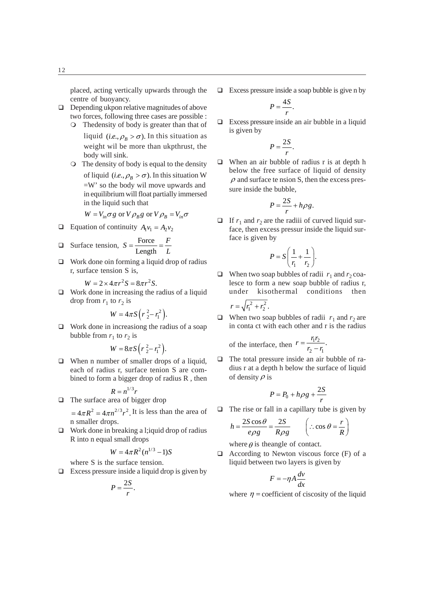placed, acting vertically upwards through the centre of buoyancy.

- $\Box$  Depending ukpon relative magnitudes of above two forces, following three cases are possible :
	- Thedensity of body is greater than that of liquid (*i.e.*,  $\rho_B > \sigma$ ). In this situation as weight wil be more than ukpthrust, the body will sink.
	- The density of body is equal to the density of liquid (*i.e.*,  $\rho_B > \sigma$ ). In this situation W =W' so the body wil move upwards and in equilibrium will float partially immersed in the liquid such that

$$
W = V_{in} \sigma g \text{ or } V \rho_B g \text{ or } V \rho_B = V_{in} \sigma
$$

- **Equation of continuity**  $A_1v_1 = A_2v_2$
- $\Box$  Surface tension,  $S = \frac{\text{Force}}{\Box}$ Length  $S = \frac{\text{Force}}{\text{Length}} = \frac{F}{L}$
- $\Box$  Work done oin forming a liquid drop of radius r, surface tension S is,

$$
W = 2 \times 4\pi r^2 S = 8\pi r^2 S.
$$

□ Work done in increasing the radius of a liquid drop from  $r_1$  to  $r_2$  is

$$
W=4\pi S(r_2^2-r_1^2).
$$

 $\Box$  Work done in increasiong the radius of a soap bubble from  $r_1$  to  $r_2$  is

$$
W=8\pi S\left(r_2^2-r_1^2\right).
$$

□ When n number of smaller drops of a liquid, each of radius r, surface tenion S are combined to form a bigger drop of radius R , then

$$
R = n^{1/3}r
$$
  
 
$$
\Box
$$
 The surface area of bigger drop

 $=4\pi R^2=4\pi n^{2/3}r^2$ . It is less than the area of n smaller drops.

 $\Box$  Work done in breaking a l; quid drop of radius R into n equal small drops

$$
W = 4\pi R^2 (n^{1/3} - 1)S
$$

- where S is the surface tension.  $\Box$  Excess pressure inside a liquid drop is given by
	- $P = \frac{2S}{r}$ .

 $\Box$  Excess pressure inside a soap bubble is give n by

$$
P=\frac{4S}{r}.
$$

 $\Box$  Excess pressure inside an air bubble in a liquid is given by

$$
P=\frac{2S}{r}.
$$

 $\Box$  When an air bubble of radius r is at depth h below the free surface of liquid of density  $\rho$  and surface te nsion S, then the excess pressure inside the bubble,

$$
P = \frac{2S}{r} + h\rho g.
$$

If  $r_1$  and  $r_2$  are the radiii of curved liquid surface, then excess pressur inside the liquid surface is given by

$$
P = S\left(\frac{1}{r_1} + \frac{1}{r_2}\right).
$$

- When two soap bubbles of radii  $r_1$  and  $r_2$  coalesce to form a new soap bubble of radius r, under kisothermal conditions then  $r = \sqrt{r_1^2 + r_2^2}$ .
- When two soap bubbles of radii  $r_1$  and  $r_2$  are in conta ct with each other and r is the radius

of the interface, then 
$$
r = \frac{r_1 r_2}{r_2 - r_1}
$$
.

 $\Box$  The total pressure inside an air bubble of radius r at a depth h below the surface of liquid of density  $\rho$  is

$$
P = P_0 + h\rho g + \frac{2S}{r}
$$

 $\Box$  The rise or fall in a capillary tube is given by

$$
h = \frac{2S\cos\theta}{e\rho g} = \frac{2S}{R\rho g} \qquad \left(\therefore \cos\theta = \frac{r}{R}\right)
$$

where  $\theta$  is the angle of contact.

 $\Box$  According to Newton viscous force (F) of a liquid between two layers is given by

$$
F = -\eta A \frac{dv}{dx}
$$

where  $\eta$  = coefficient of ciscosity of the liquid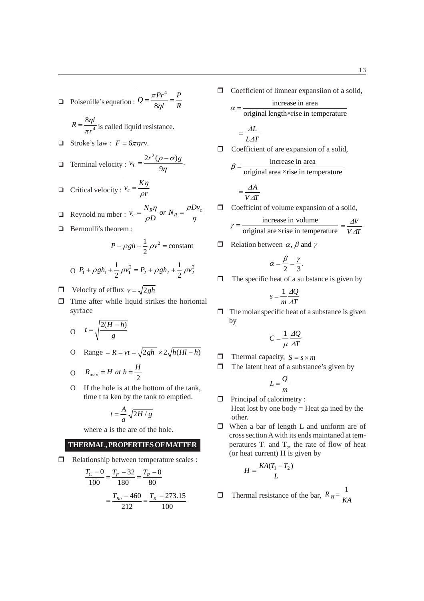$$
\Box \quad \text{Poiseuille's equation: } Q = \frac{\pi Pr^4}{8\eta l} = \frac{P}{R}
$$

$$
R = \frac{8\eta l}{\pi r^4}
$$
 is called liquid resistance.

 $\Box$  Stroke's law :  $F = 6\pi \eta r v$ .

$$
\Box \quad \text{Terminal velocity: } v_T = \frac{2r^2(\rho - \sigma)g}{9\eta}.
$$

$$
\Box \quad \text{Critical velocity: } v_c = \frac{K\eta}{\rho r}
$$

$$
\Box \quad \text{Reynold nu mber : } v_c = \frac{N_R \eta}{\rho D} \text{ or } N_R = \frac{\rho D v_c}{\eta}
$$

**Bernoulli's theorem :** 

$$
P + \rho g h + \frac{1}{2} \rho v^2 = \text{constant}
$$

$$
O \ P_1 + \rho g h_1 + \frac{1}{2} \rho v_1^2 = P_2 + \rho g h_2 + \frac{1}{2} \rho v_2^2
$$

- $\Box$  Velocity of efflux  $v = \sqrt{2gh}$
- $\Box$  Time after while liquid strikes the horiontal syrface

$$
O \t= \sqrt{\frac{2(H-h)}{g}}
$$

O Range = 
$$
R = vt = \sqrt{2gh} \times 2\sqrt{h(Hl-h)}
$$

$$
O \t R_{\text{max}} = H \t at \t h = \frac{H}{2}
$$

O If the hole is at the bottom of the tank, time t ta ken by the tank to emptied.

$$
t = \frac{A}{a} \sqrt{2H/g}
$$

where a is the are of the hole.

## **THERMAL, PROPERTIES OF MATTER**

Relationship between temperature scales :

$$
\frac{T_C - 0}{100} = \frac{T_F - 32}{180} = \frac{T_R - 0}{80}
$$

$$
= \frac{T_{Ra} - 460}{212} = \frac{T_K - 273.15}{100}
$$

 $\Box$  Coefficient of limnear expansiion of a solid,

$$
\alpha = \frac{\text{increase in area}}{\text{original length} \times \text{rise in temperature}}
$$
\n
$$
= \frac{\Delta L}{L \Delta T}
$$
\n1

\n1

\n1

\n1

\n1

\n1

\n2

\n2

\n3

\n3

\n4

\n4

\n5

\n5

\n6

\n6

\n7

\n8

\n9

\n10

\n11

\n12

\n13

\n14

\n15

\n16

\n17

\n18

\n19

\n10

\n10

\n11

\n12

\n14

\n15

\n16

\n17

\n18

\n19

\n10

\n10

\n11

\n12

\n13

\n14

\n15

\n16

\n17

\n18

\n19

\n10

\n11

\n11

\n12

\n13

\n14

\n15

\n16

\n16

\n17

\n18

\n19

\n10

\n11

\n11

\n12

\n13

\n14

\n15

\n16

\n16

\n17

\n18

\n19

\n10

\n11

\n11

\n12

\n13

\n14

\n15

\n16

\n17

\n18

\n19

\n10

\n11

\n11

\n12

\n13

\n14

\n

$$
= \frac{\Delta A}{V \Delta T}
$$

 $\Box$  Coefficint of volume expansion of a solid,

$$
\gamma = \frac{\text{increase in volume}}{\text{original are xrise in temperature}} = \frac{\Delta V}{V \Delta T}
$$

 $\Box$  Relation between  $\alpha$ ,  $\beta$  and  $\gamma$ 

$$
\alpha = \frac{\beta}{2} = \frac{\gamma}{3}.
$$

 $\Box$  The specific heat of a su bstance is given by

$$
s = \frac{1}{m} \frac{\Delta Q}{\Delta T}
$$

 $\Box$  The molar specific heat of a substance is given by

$$
C = \frac{1}{\mu} \frac{\Delta Q}{\Delta T}
$$

- $\Box$  Thermal capacity,  $S = s \times m$
- $\Box$  The latent heat of a substance's given by

$$
L=\frac{Q}{m}
$$

- $\Box$  Principal of calorimetry : Heat lost by one body  $=$  Heat ga ined by the other.
- When a bar of length L and uniform are of cross section A with its ends maintaned at temperatures  $T_1$  and  $T_2$ , the rate of flow of heat (or heat current) H is given by

$$
H = \frac{KA(T_1 - T_2)}{L}
$$

 $\Box$  Thermal resistance of the bar,  $R_H = \frac{1}{KA}$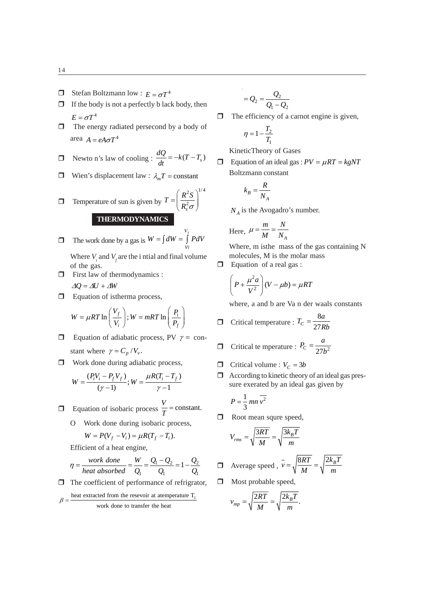14

- $\Box$  Stefan Boltzmann low :  $E = \sigma T^4$
- $\Box$  If the body is not a perfectly b lack body, then  $E = \sigma T^4$
- $\Box$  The energy radiated persecond by a body of area  $A = eA\sigma T^4$

$$
\Box \quad \text{Newton's law of cooling}: \frac{dQ}{dt} = -k(T - T_s)
$$

Wien's displacement law :  $\lambda_m T = constant$ 

**11** Temperature of sun is given by 
$$
T = \left(\frac{R^2 S}{R_s^2 \sigma}\right)^{1/4}
$$
**THERMODYNAMICS**

- $\Box$  The work done by a gas is *Vf*  $W = \int dW = \int_{Vi} PdV$ Where  $V_i$  and  $V_f$  are the i ntial and final volume
- of the gas.  $\Box$  First law of thermodynamics :
- $\Delta Q = \Delta U + \Delta W$
- $\Box$  Equation of istherma process,

$$
W = \mu RT \ln \left( \frac{V_f}{V_i} \right); W = mRT \ln \left( \frac{P_i}{P_f} \right)
$$

- **Equation of adiabatic process, PV**  $\gamma$  = constant where  $\gamma = C_p / V_v$ .
- $\Box$  Work done during adiabatic process,

$$
W = \frac{(P_i V_i - P_f V_f)}{(\gamma - 1)}; W = \frac{\mu R (T_i - T_f)}{\gamma - 1}
$$

- $\Box$  Equation of isobaric process  $\frac{V}{T}$  = constant.
	- O Work done during isobaric process,

$$
W = P(V_f - V_i) = \mu R (T_f - T_i).
$$

Efficient of a heat engine,

$$
\eta = \frac{work \; done}{heat \; absorbed} = \frac{W}{Q_1} = \frac{Q_1 - Q_2}{Q_1} = 1 - \frac{Q_2}{Q_1}
$$

 $\Box$  The coefficient of performance of refrigrator,

$$
\beta = \frac{\text{heat extracted from the reservoir at a temperature } T_2}{\text{work done to transfer the heat}}
$$

$$
=Q_2=\frac{Q_2}{Q_1-Q_2}
$$

 $\Box$  The efficiency of a carnot engine is given,

$$
\eta=1-\frac{T_2}{T_1}
$$

KineticTheory of Gases

Equation of an ideal gas :  $PV = \mu RT = kgNT$ Boltzmann constant

$$
k_B = \frac{R}{N_A}
$$

 $N_A$  is the Avogadro's number.

Here, 
$$
\mu = \frac{m}{M} = \frac{N}{N_A}
$$

Where, m isthe mass of the gas containing N molecules, M is the molar mass

 $\Box$  Equation of a real gas :

$$
\left(P + \frac{\mu^2 a}{V^2}\right)(V - \mu b) = \mu RT
$$

where, a and b are Va n der waals constants

$$
\Box \quad \text{Critical temperature : } T_C = \frac{8a}{27Rb}
$$

$$
\Box \quad \text{Critical te mperature : } P_C = \frac{a}{27b^2}
$$

- Critical volume :  $V_c = 3b$
- $\Box$  According to kinetic theory of an ideal gas pressure exerated by an ideal gas given by

$$
P = \frac{1}{3} \, mn \, \overline{v^2}
$$

**D** Root mean squre speed,

$$
V_{rms} = \sqrt{\frac{3RT}{M}} = \sqrt{\frac{3k_BT}{m}}
$$

$$
\Box \quad \text{Average speed} \ , \ v = \sqrt{\frac{8RT}{M}} = \sqrt{\frac{2k_BT}{m}}
$$

 $\Box$  Most probable speed,

$$
v_{mp} = \sqrt{\frac{2RT}{M}} = \sqrt{\frac{2k_B T}{m}}.
$$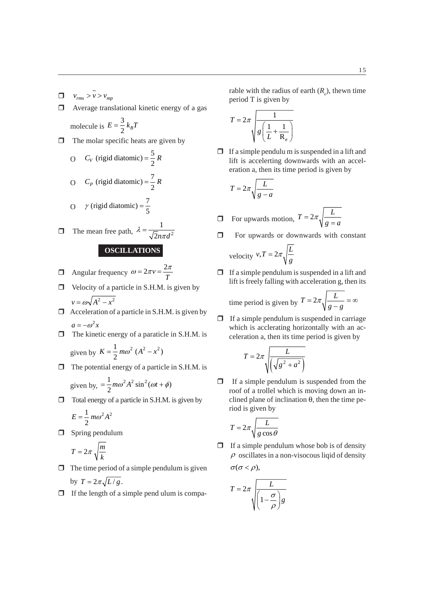- $v_{rms}$  *v v v v<sub>mp</sub>*
- $\Box$  Average translational kinetic energy of a gas molecule is 3  $E = \frac{3}{2} k_B T$
- $\Box$  The molar specific heats are given by
	- O  $C_V$  (rigid diatomic) =  $\frac{5}{2}R$ O  $C_p$  (rigid diatomic) =  $\frac{7}{2}R$

O 
$$
\gamma
$$
 (rigid diatomic) =  $\frac{7}{5}$ 

$$
\Box
$$
 The mean free path,  $\lambda = \frac{1}{\sqrt{2}n\pi d^2}$ 

### **OSCILLATIONS**

**1** Angular frequency  $\omega = 2\pi v = \frac{2}{5}$ *T*  $\omega = 2\pi v = \frac{2\pi}{\pi}$ 

- $\Box$  Velocity of a particle in S.H.M. is given by  $v = \omega \sqrt{A^2 - x^2}$
- $\Box$  Acceleration of a particle in S.H.M. is given by  $a = -\omega^2 x$
- $\Box$  The kinetic energy of a paraticle in S.H.M. is given by  $K = \frac{1}{2} m \omega^2 (A^2 - x^2)$
- $\Box$  The potential energy of a particle in S.H.M. is

given by, 
$$
=\frac{1}{2}m\omega^2 A^2 \sin^2(\omega t + \phi)
$$

 $\Box$  Total energy of a particle in S.H.M. is given by

$$
E = \frac{1}{2} m\omega^2 A^2
$$

 $\Box$  Spring pendulum

$$
T = 2\pi \sqrt{\frac{m}{k}}
$$

- $\Box$  The time period of a simple pendulum is given by  $T = 2\pi \sqrt{L/g}$ .
- $\Box$  If the length of a simple pend ulum is compa-

rable with the radius of earth  $(R_e)$ , thewn time period T is given by

$$
T = 2\pi \sqrt{\frac{1}{g\left(\frac{1}{L} + \frac{1}{R_e}\right)}}
$$

 $\Box$  If a simple pendulu m is suspended in a lift and lift is accelerting downwards with an acceleration a, then its time period is given by

$$
T = 2\pi \sqrt{\frac{L}{g - a}}
$$

$$
\Box \quad \text{For upwards motion, } T = 2\pi \sqrt{\frac{L}{g = a}}
$$

 $\Box$  For upwards or downwards with constant

velocity 
$$
v, T = 2\pi \sqrt{\frac{L}{g}}
$$

 $\Box$  If a simple pendulum is suspended in a lift and lift is freely falling with acceleration g, then its

time period is given by 
$$
T = 2\pi \sqrt{\frac{L}{g - g}} = \infty
$$

 $\Box$  If a simple pendulum is suspended in carriage which is acclerating horizontally with an acceleration a, then its time period is given by

$$
T = 2\pi \sqrt{\frac{L}{\sqrt{g^2 + a^2}}}
$$

 $\Box$  If a simple pendulum is suspended from the roof of a trollel which is moving down an inclined plane of inclination  $\theta$ , then the time period is given by

$$
T = 2\pi \sqrt{\frac{L}{g\cos\theta}}
$$

 $\Box$  If a simple pendulum whose bob is of density  $\rho$  oscillates in a non-visocous liqid of density  $\sigma(\sigma < \rho),$ 

$$
T = 2\pi \sqrt{\frac{L}{\left(1 - \frac{\sigma}{\rho}\right)g}}
$$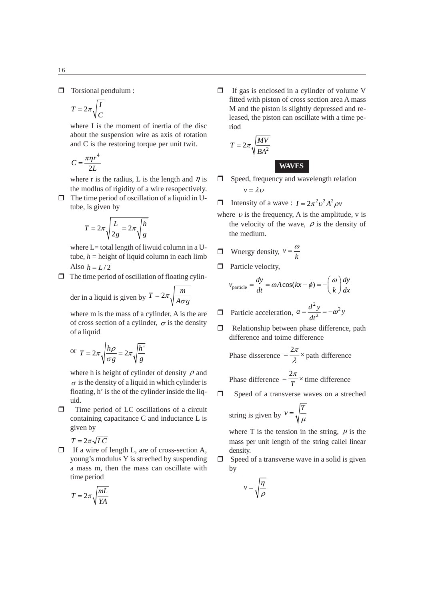$$
T = 2\pi \sqrt{\frac{I}{C}}
$$

where I is the moment of inertia of the disc about the suspension wire as axis of rotation and C is the restoring torque per unit twit.

$$
C = \frac{\pi \eta r^4}{2L}
$$

where r is the radius, L is the length and  $\eta$  is the modlus of rigidity of a wire resopectively.

 $\Box$  The time period of oscillation of a liquid in Utube, is given by

$$
T = 2\pi \sqrt{\frac{L}{2g}} = 2\pi \sqrt{\frac{h}{g}}
$$

where  $L=$  total length of liwuid column in a Utube,  $h =$  height of liquid column in each limb Also  $h = L/2$ 

 $\Box$  The time period of oscillation of floating cylin-

der in a liquid is given by 
$$
T = 2\pi \sqrt{\frac{m}{A \sigma g}}
$$

where m is the mass of a cylinder, A is the are of cross section of a cylinder,  $\sigma$  is the density of a liquid

or 
$$
T = 2\pi \sqrt{\frac{h\rho}{\sigma g}} = 2\pi \sqrt{\frac{h'}{g}}
$$

where h is height of cylinder of density  $\rho$  and  $\sigma$  is the density of a liquid in which cylinder is floating, h' is the of the cylinder inside the liquid.

 $\Box$  Time period of LC oscillations of a circuit containing capacitance C and inductance L is given by

$$
T=2\pi\sqrt{LC}
$$

 $\bar{z}$ 

 $\Box$  If a wire of length L, are of cross-section A, young's modulus Y is streched by suspending a mass m, then the mass can oscillate with time period

$$
T = 2\pi \sqrt{\frac{mL}{YA}}
$$

 $\Box$  If gas is enclosed in a cylinder of volume V fitted with piston of cross section area A mass M and the piston is slightly depressed and released, the piston can oscillate with a time period

$$
T = 2\pi \sqrt{\frac{MV}{BA^2}}
$$

 $\Box$  Speed, frequency and wavelength relation  $v = \lambda v$ 

**WAVES**

- **I** Intensity of a wave :  $I = 2\pi^2 v^2 A^2 \rho v$
- where  $\nu$  is the frequency, A is the amplitude, v is the velocity of the wave,  $\rho$  is the density of the medium.

$$
\Box \quad \text{Wnergy density, } v = \frac{\omega}{k}
$$

 $\Box$  Particle velocity,

$$
v_{\text{particle}} = \frac{dy}{dt} = \omega A \cos(kx - \phi) = -\left(\frac{\omega}{k}\right) \frac{dy}{dx}
$$

- **D** Particle acceleration, <sup>2</sup> $y = x^2$  $a = \frac{d^2 y}{dt^2} = -\omega^2 y$
- $\Box$  Relationship between phase difference, path difference and toime difference

Phase discrete = 
$$
\frac{2\pi}{\lambda}
$$
 with difference  
Phase difference =  $\frac{2\pi}{T}$  times difference

**I** Speed of a transverse waves on a streched

string is given by 
$$
v = \sqrt{\frac{T}{\mu}}
$$

where T is the tension in the string,  $\mu$  is the mass per unit length of the string callel linear density.

 $\Box$  Speed of a transverse wave in a solid is given by

$$
v = \sqrt{\frac{\eta}{\rho}}
$$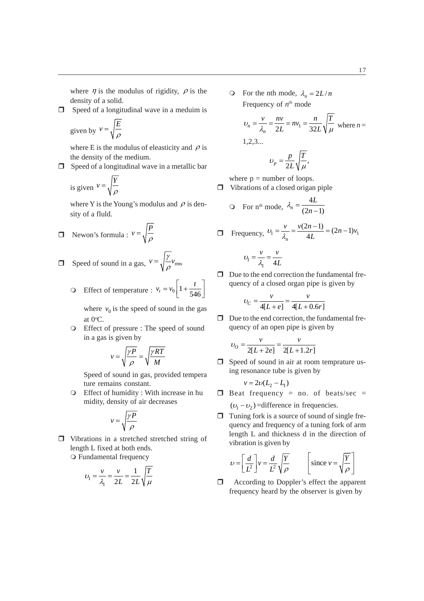where  $\eta$  is the modulus of rigidity,  $\rho$  is the density of a solid.

 $\Box$  Speed of a longitudinal wave in a meduim is

given by 
$$
v = \sqrt{\frac{E}{\rho}}
$$

where E is the modulus of eleasticity and  $\rho$  is the density of the medium.

 $\Box$  Speed of a longitudinal wave in a metallic bar

is given 
$$
v = \sqrt{\frac{Y}{\rho}}
$$

where Y is the Young's modulus and  $\rho$  is density of a fluld.

$$
\Box \quad \text{Newton's formula}: \ v = \sqrt{\frac{P}{\rho}}
$$

- **Speed** of sound in a gas,  $v = \sqrt{\frac{\gamma}{\rho}} v_{\text{rms}}$ 
	- **O** Effect of temperature :  $v_t = v_0 \left[ 1 + \frac{t}{546} \right]$  $v_t = v_0 \left[ 1 + \frac{t}{546} \right]$

where  $v_0$  is the speed of sound in the gas at  $0^{\circ}$ C.

 Effect of pressure : The speed of sound in a gas is given by

$$
v = \sqrt{\frac{\gamma P}{\rho}} = \sqrt{\frac{\gamma RT}{M}}
$$

Speed of sound in gas, provided tempera ture remains constant.

 Effect of humidity : With increase in hu midity, density of air decreases

$$
v = \sqrt{\frac{\gamma P}{\rho}}
$$

 Vibrations in a stretched stretched string of length L fixed at both ends. Fundamental frequency

$$
U_1 = \frac{v}{\lambda_1} = \frac{v}{2L} = \frac{1}{2L} \sqrt{\frac{T}{\mu}}
$$

 $\bigcirc$  For the nth mode,  $\lambda_n = 2L/n$ Frequency of *nth* mode

$$
\upsilon_n = \frac{\upsilon}{\lambda_n} = \frac{nv}{2L} = nv_1 = \frac{n}{32L} \sqrt{\frac{T}{\mu}}
$$
 where  $n = 1, 2, 3...$   

$$
\upsilon_p = \frac{p}{2L} \sqrt{\frac{T}{\mu}},
$$

where  $p =$  number of loops.

 $\Box$  Vibrations of a closed origan piple

$$
\text{O} \quad \text{For } n^{\text{th}} \text{ mode, } \lambda_n = \frac{4L}{(2n-1)}
$$

■ Frequency, 
$$
v_1 = \frac{v}{\lambda_n} = \frac{v(2n-1)}{4L} = (2n-1)v_1
$$
  
 $v_1 = \frac{v}{\lambda_1} = \frac{v}{4L}$ 

 $\Box$  Due to the end correction the fundamental frequency of a closed organ pipe is given by

$$
U_C = \frac{v}{4[L+e]} = \frac{v}{4[L+0.6r]}
$$

 $\Box$  Due to the end correction, the fundamental frequency of an open pipe is given by

$$
v_O = \frac{v}{2[L + 2e]} = \frac{v}{2[L + 1.2r]}
$$

□ Speed of sound in air at room temprature using resonance tube is given by

$$
v = 2v(L_2 - L_1)
$$

- $\Box$  Beat frequency = no. of beats/sec =  $(v_1 - v_2)$  =difference in frequencies.
- $\Box$  Tuning fork is a source of sound of single frequency and frequency of a tuning fork of arm length L and thickness d in the direction of vibration is given by

$$
U = \left[\frac{d}{L^2}\right]v = \frac{d}{L^2}\sqrt{\frac{Y}{\rho}} \qquad \left[\text{since } v = \sqrt{\frac{Y}{\rho}}\right]
$$

□ According to Doppler's effect the apparent frequency heard by the observer is given by